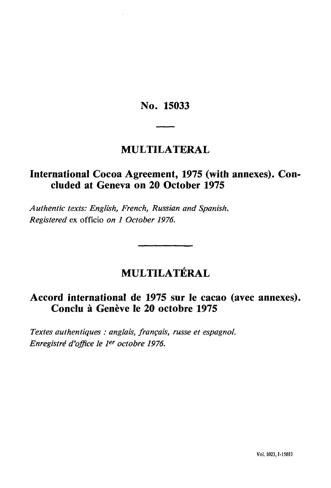**No. 15033**

# **MULTILATERAL**

# **International Cocoa Agreement, 1975 (with annexes). Con cluded at Geneva on 20 October 1975**

*Authentic texts: English, French, Russian and Spanish. Registered* ex officio *on 1 October 1976.*

# **MULTILATERAL**

# **Accord international de 1975 sur le cacao (avec annexes). Conclu à Genève le 20 octobre 1975**

*Textes authentiques : anglais, français, russe et espagnol. Enregistré d'office le 1er octobre 1976.*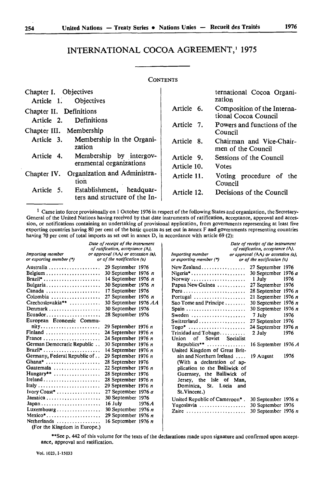# INTERNATIONAL COCOA AGREEMENT,<sup>1</sup> 1975

#### **CONTENTS**

| Chapter I. Objectives<br>Article 1. Objectives                       |                           | ternational Cocoa Organi-<br>zation                 |
|----------------------------------------------------------------------|---------------------------|-----------------------------------------------------|
| Chapter II. Definitions<br>Article 2. Definitions                    | Article 6.                | Composition of the Interna-<br>tional Cocoa Council |
| Chapter III. Membership                                              | Article 7.                | Powers and functions of the<br>Council              |
| Article 3. Membership in the Organi-<br>zation                       | Article 8.                | Chairman and Vice-Chair-<br>men of the Council      |
| Membership by intergov-<br>Article 4.<br>ernmental organizations     | Article 9.<br>Article 10. | Sessions of the Council<br><b>Votes</b>             |
| Organization and Administra-<br>Chapter IV.<br>tion                  | Article 11.               | Voting procedure of the<br>Council                  |
| Article 5. Establishment, headquar-<br>ters and structure of the In- | Article 12.               | Decisions of the Council                            |

1 Came into force provisionally on 1 October 1976 in respect of the following States and organization, the Secretary-General of the United Nations having received by that date instruments of ratification, acceptance, approval and acces sion, or notifications containing an undertaking of provisional application, from governments representing at least five exporting countries having 80 per cent of the basic quotas as set out in annex F and governments representing countries having 70 per cent of total imports as set out in annex D, in accordance with article 69 (2):

| <b>Importing member</b><br>or exporting member (*)                                                                                                                                                                                                                                                                                                                   | Date of receipt of the instrument<br>of ratification, acceptance (A),<br>or approval (AA) or accession (a),<br>or of the notification (n)                                                                                                                                                                                                                                                                                                                                                            |       | <b>Importing member</b><br>or exporting member (*)                                                                                                                                                                                                                                                                                                                                                                                                                                                                                           | Date of receipt of the instrument<br>of ratification, acceptance (A),<br>or approval (AA) or accession (a),<br>or of the notification (n)                                                                                                                                     |                              |
|----------------------------------------------------------------------------------------------------------------------------------------------------------------------------------------------------------------------------------------------------------------------------------------------------------------------------------------------------------------------|------------------------------------------------------------------------------------------------------------------------------------------------------------------------------------------------------------------------------------------------------------------------------------------------------------------------------------------------------------------------------------------------------------------------------------------------------------------------------------------------------|-------|----------------------------------------------------------------------------------------------------------------------------------------------------------------------------------------------------------------------------------------------------------------------------------------------------------------------------------------------------------------------------------------------------------------------------------------------------------------------------------------------------------------------------------------------|-------------------------------------------------------------------------------------------------------------------------------------------------------------------------------------------------------------------------------------------------------------------------------|------------------------------|
| Australia<br>Brazil <sup>*</sup><br>Bulgaria<br>Canada<br>Colombia<br>Czechoslovakia**<br>Denmark<br>$Ecuador \ldots \ldots \ldots \ldots \ldots$<br>European Economic Commu-<br>Finland<br>France<br>German Democratic Republic<br>Brazil <sup>*</sup><br>Germany, Federal Republic of<br>Ghana*<br>Guatemala<br>$Hungary**$<br>Ireland<br>Ivory Coast <sup>*</sup> | 29 September 1976<br>30 September 1976 $n$<br>14 September 1976 n<br>30 September 1976 n<br>17 September 1976<br>27 September 1976 $n$<br>30 September 1976 AA<br>30 September 1976<br>28 September 1976<br>29 September 1976 $n$<br>24 September 1976 $n$<br>24 September 1976 $n$<br>30 September 1976 n<br>14 September 1976 n<br>29 September 1976 $n$<br>28 September 1976<br>22 September 1976 $n$<br>28 September 1976<br>28 September 1976 $n$<br>29 September 1976 n<br>27 September 1976 a |       | New Zealand<br>Nigeria <sup>*</sup><br>Norway<br>Papua New Guinea<br>$Peru \dots \dots \dots \dots \dots \dots \dots \dots \dots$<br>Portugal<br>Sao Tome and Principe $\dots$<br>Sweden<br>$Togo^*$<br>$Trivial$ and $To$ bago<br>of Soviet Socialist<br>Union<br>Republics** $\dots\dots\dots\dots\dots$<br>United Kingdom of Great Brit-<br>ain and Northern Ireland<br>(With a declaration of ap-<br>plication to the Bailiwick of<br>Guernsey, the Bailiwick of<br>Jersey, the Isle of Man,<br>Dominica, St. Lucia and<br>St. Vincent.) | 27 September 1976<br>30 September 1976 a<br>1 July<br>27 September 1976<br>28 September 1976 $n$<br>21 September 1976 $n$<br>30 Septcmber 1976 n<br>30 September 1976 n<br>7 July<br>27 September 1976<br>24 September 1976 $n$<br>2 July<br>16 September 1976 A<br>19 August | 1976<br>1976<br>1976<br>1976 |
| $Japan \dots \dots \dots \dots \dots \dots \dots \dots$<br>Luxembourg<br>$Mexico^*$<br>Netherlands                                                                                                                                                                                                                                                                   | 30 September 1976<br>16 July<br>30 September 1976 n<br>29 September 1976 $n$<br>16 September 1976 $n$                                                                                                                                                                                                                                                                                                                                                                                                | 1976A | United Republic of Cameroon*.<br>Yugoslavia<br>Zaire                                                                                                                                                                                                                                                                                                                                                                                                                                                                                         | 30 September 1976 n<br>30 September 1976<br>30 September 1976 n                                                                                                                                                                                                               |                              |

(For the Kingdom in Europe.)

\*\*See p. 442 of this volume for the texts of the declarations made upon signature and confirmed upon accept ance, approval and ratification.

Vol. 1023,1-15033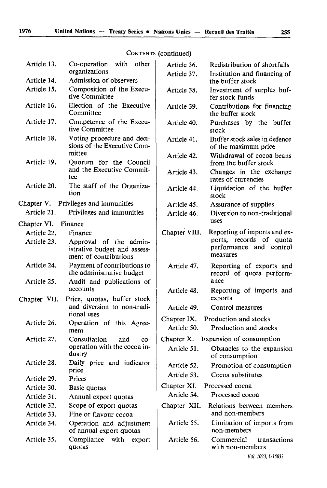# CONTENTS (continued)

| Article 13.                        | with<br>Co-operation<br>other                                                   | Article 36.   | Redistribution of shortfalls                          |
|------------------------------------|---------------------------------------------------------------------------------|---------------|-------------------------------------------------------|
|                                    | organizations                                                                   | Article 37.   | Institution and financing of                          |
| Article 14.                        | Admission of observers                                                          |               | the buffer stock                                      |
| Article 15.                        | Composition of the Execu-<br>tive Committee                                     | Article 38.   | Investment of surplus buf-<br>fer stock funds         |
| Article 16.                        | Election of the Executive<br>Committee                                          | Article 39.   | Contributions for financing<br>the buffer stock       |
| Article 17.                        | Competence of the Execu-<br>tive Committee                                      | Article 40.   | Purchases by the buffer<br>stock                      |
| Article 18.                        | Voting procedure and deci-<br>sions of the Executive Com-                       | Article 41.   | Buffer stock sales in defence<br>of the maximum price |
| Article 19.                        | mittee<br>Quorum for the Council                                                | Article 42.   | Withdrawal of cocoa beans<br>from the buffer stock    |
|                                    | and the Executive Commit-<br>tee                                                | Article 43.   | Changes in the exchange<br>rates of currencies        |
| Article 20.                        | The staff of the Organiza-<br>tion                                              | Article 44.   | Liquidation of the buffer<br>stock                    |
| Chapter V.                         | Privileges and immunities                                                       | Article 45.   | Assurance of supplies                                 |
| Article 21.                        | Privileges and immunities                                                       | Article 46.   | Diversion to non-traditional<br>uses                  |
| Chapter VI. Finance<br>Article 22. |                                                                                 | Chapter VIII. | Reporting of imports and ex-                          |
| Article 23.                        | Finance                                                                         |               | ports, records of quota                               |
|                                    | Approval of the admin-<br>istrative budget and assess-<br>ment of contributions |               | performance and control<br>measures                   |
| Article 24.                        | Payment of contributions to<br>the administrative budget                        | Article 47.   | Reporting of exports and<br>record of quota perform-  |
| Article 25.                        | Audit and publications of<br>accounts                                           | Article 48.   | ance<br>Reporting of imports and                      |
| Chapter VII.                       | Price, quotas, buffer stock<br>and diversion to non-tradi-                      | Article 49.   | exports<br>Control measures                           |
|                                    | tional uses                                                                     | Chapter IX.   | Production and stocks                                 |
| Article 26.                        | Operation of this Agree-<br>ment                                                | Article 50.   | Production and stocks                                 |
| Article 27.                        | Consultation<br>and<br>co-                                                      | Chapter X.    | Expansion of consumption                              |
|                                    | operation with the cocoa in-<br>dustry                                          | Article 51.   | Obstacles to the expansion<br>of consumption          |
| Article 28.                        | Daily price and indicator                                                       | Article 52.   | Promotion of consumption                              |
| Article 29.                        | price<br>Prices                                                                 | Article 53.   | Cocoa substitutes                                     |
| Article 30.                        | Basic quotas                                                                    | Chapter XI.   | Processed cocoa                                       |
| Article 31.                        | Annual export quotas                                                            | Article 54.   | Processed cocoa                                       |
| Article 32.                        | Scope of export quotas                                                          | Chapter XII.  | Relations between members                             |
| Article 33.                        | Fine or flavour cocoa                                                           |               | and non-members                                       |
| Article 34.                        | Operation and adjustment<br>of annual export quotas                             | Article 55.   | Limitation of imports from<br>non-members             |
| Article 35.                        | Compliance with<br>export<br>quotas                                             | Article 56.   | Commercial<br>transactions<br>with non-members        |
|                                    |                                                                                 |               | Vol. 1023, 1.15033                                    |

Vol. 1023,1-15033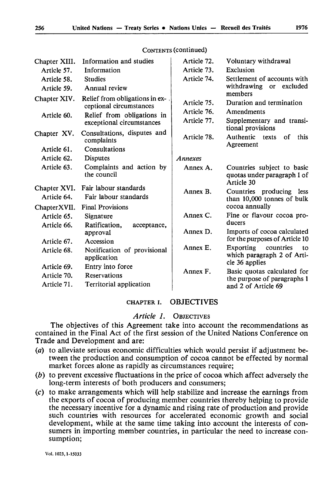| Chapter XIII.               | Information and studies                                                                  | Article 72.                               | Voluntary withdrawal                                                           |
|-----------------------------|------------------------------------------------------------------------------------------|-------------------------------------------|--------------------------------------------------------------------------------|
| Article 57.                 | Information                                                                              | Article 73.                               | Exclusion                                                                      |
| Article 58.                 | <b>Studies</b>                                                                           | Article 74.                               | Settlement of accounts with                                                    |
| Article 59.                 | Annual review                                                                            |                                           | withdrawing<br>or excluded                                                     |
| Chapter XIV.<br>Article 60. | Relief from obligations in ex-.<br>ceptional circumstances<br>Relief from obligations in | Article 75.<br>Article 76.<br>Article 77. | members<br>Duration and termination<br>Amendments<br>Supplementary and transi- |
|                             | exceptional circumstances                                                                |                                           | tional provisions                                                              |
| Chapter XV.                 | Consultations, disputes and<br>complaints                                                | Article 78.                               | Authentic<br>this<br>οf<br>texts<br>Agreement                                  |
| Article 61.                 | Consultations                                                                            |                                           |                                                                                |
| Article 62.                 | <b>Disputes</b>                                                                          | Annexes                                   |                                                                                |
| Article 63.                 | Complaints and action by<br>the council                                                  | Annex A.                                  | Countries subject to basic<br>quotas under paragraph 1 of<br>Article 30        |
| Chapter XVI.<br>Article 64. | Fair labour standards<br>Fair labour standards                                           | Annex B.                                  | Countries producing less<br>than 10,000 tonnes of bulk                         |
| Chapter XVII.               | <b>Final Provisions</b>                                                                  |                                           | cocoa annually                                                                 |
| Article 65.                 | Signature                                                                                | Annex C.                                  | Fine or flavour cocoa pro-<br>ducers                                           |
| Article 66.                 | Ratification.<br>acceptance,<br>approval                                                 | Annex D.                                  | Imports of cocoa calculated<br>for the purposes of Article 10                  |
| Article 67.                 | Accession                                                                                | Annex E.                                  | Exporting<br>countries<br>to.                                                  |
| Article 68.                 | Notification of provisional<br>application                                               |                                           | which paragraph 2 of Arti-<br>cle 36 applies                                   |
| Article 69.                 | Entry into force                                                                         | Annex F.                                  | Basic quotas calculated for                                                    |
| Article 70.<br>Article 71.  | Reservations<br>Territorial application                                                  |                                           | the purpose of paragraphs 1<br>and 2 of Article 69                             |

# CONTENTS (continued)

#### CHAPTER i. OBJECTIVES

#### *Article 1.* OBJECTIVES

The objectives of this Agreement take into account the recommendations as contained in the Final Act of the first session of the United Nations Conference on Trade and Development and are:

- (a) to alleviate serious economic difficulties which would persist if adjustment be tween the production and consumption of cocoa cannot be effected by normal market forces alone as rapidly as circumstances require;
- *(b)* to prevent excessive fluctuations in the price of cocoa which affect adversely the long-term interests of both producers and consumers;
- (c) to make arrangements which will help stabilize and increase the earnings from the exports of cocoa of producing member countries thereby helping to provide the necessary incentive for a dynamic and rising rate of production and provide such countries with resources for accelerated economic growth and social development, while at the same time taking into account the interests of con sumers in importing member countries, in particular the need to increase con sumption;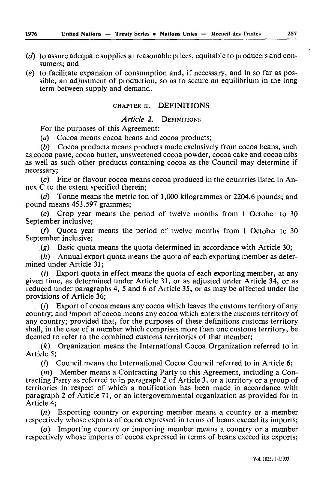- $(d)$  to assure adequate supplies at reasonable prices, equitable to producers and consumers; and
- *(e)* to facilitate expansion of consumption and, if necessary, and in so far as pos sible, an adjustment of production, so as to secure an equilibrium in the long term between supply and demand.

# CHAPTER ii. DEFINITIONS

#### *Article 2.* DEFINITIONS

For the purposes of this Agreement:

*(a)* Cocoa means cocoa beans and cocoa products;

*(b)* Cocoa products means products made exclusively from cocoa beans, such as.cocoa paste, cocoa butter, unsweetened cocoa powder, cocoa cake and cocoa nibs as well as such other products containing cocoa as the Council may determine if necessary;

*(c)* Fine or flavour cocoa means cocoa produced in the countries listed in An nex C to the extent specified therein;

*(d)* Tonne means the metric ton of 1,000 kilogrammes or 2204.6 pounds; and pound means 453.597 grammes;

*(e)* Crop year means the period of twelve months from 1 October to 30 September inclusive;

(/) Quota year means the period of twelve months from 1 October to 30 September inclusive;

*(g)* Basic quota means the quota determined in accordance with Article 30;

*(h)* Annual export quota means the quota of each exporting member as deter mined under Article 31:

( $i$ ) Export quota in effect means the quota of each exporting member, at any given time, as determined under Article 31, or as adjusted under Article 34, or as reduced under paragraphs 4, 5 and 6 of Article 35, or as may be affected under the provisions of Article 36;

 $(i)$  Export of cocoa means any cocoa which leaves the customs territory of any country; and import of cocoa means any cocoa which enters the customs territory of any country; provided that, for the purposes of these definitions customs territory shall, in the case of a member which comprises more than one customs territory, be deemed to refer to the combined customs territories of that member;

*(k)* Organization means the International Cocoa Organization referred to in Article 5;

(/) Council means the International Cocoa Council referred to in Article 6;

*(m)* Member means a Contracting Party to this Agreement, including a Con tracting Party as referred to in paragraph 2 of Article 3, or a territory or a group of territories in respect of which a notification has been made in accordance with paragraph 2 of Article 71, or an intergovernmental organization as provided for in Article 4;

 $(n)$  Exporting country or exporting member means a country or a member respectively whose exports of cocoa expressed in terms of beans exceed its imports;

*(o)* Importing country or importing member means a country or a member respectively whose imports of cocoa expressed in terms of beans exceed its exports;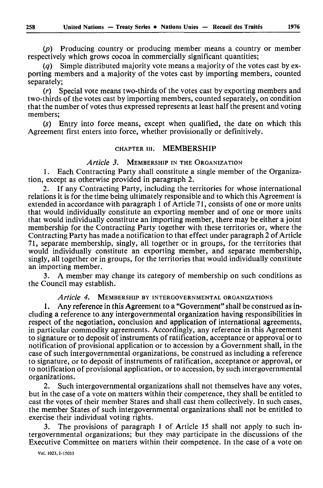*(p)* Producing country or producing member means a country or member respectively which grows cocoa in commercially significant quantities;

*(q)* Simple distributed majority vote means a majority of the votes cast by ex porting members and a majority of the votes cast by importing members, counted separately;

*(r)* Special vote means two-thirds of the votes cast by exporting members and two-thirds of the votes cast by importing members, counted separately, on condition that the number of votes thus expressed represents at least half the present and voting members;

(s) Entry into force means, except when qualified, the date on which this Agreement first enters into force, whether provisionally or definitively.

#### CHAPTER in. MEMBERSHIP

*Article 3.* MEMBERSHIP IN THE ORGANIZATION

1. Each Contracting Party shall constitute a single member of the Organiza tion, except as otherwise provided in paragraph 2.

2. If any Contracting Party, including the territories for whose international relations it is for the time being ultimately responsible and to which this Agreement is extended in accordance with paragraph 1 of Article 71, consists of one or more units that would individually constitute an exporting member and of one or more units that would individually constitute an importing member, there may be either a joint membership for the Contracting Party together with these territories or, where the Contracting Party has made a notification to that effect under paragraph 2 of Article 71, separate membership, singly, all together or in groups, for the territories that would individually constitute an exporting member, and separate membership, singly, all together or in groups, for the territories that would individually constitute an importing member.

3. A member may change its category of membership on such conditions as the Council may establish.

#### *Article 4.* MEMBERSHIP BY INTERGOVERNMENTAL ORGANIZATIONS

1. Any reference in this Agreement to a "Government" shall be construed as in cluding a reference to any intergovernmental organization having responsibilities in respect of the negotiation, conclusion and application of international agreements, in particular commodity agreements. Accordingly, any reference in this Agreement to signature or to deposit of instruments of ratification, acceptance or approval or to notification of provisional application or to accession by a Government shall, in the case of such intergovernmental organizations, be construed as including a reference to signature, or to deposit of instruments of ratification, acceptance or approval, or to notification of provisional application, or to accession, by such intergovernmental organizations.

2. Such intergovernmental organizations shall not themselves have any votes, but in the case of a vote on matters within their competence, they shall be entitled to cast the votes of their member States and shall cast them collectively. In such cases, the member States of such intergovernmental organizations shall not be entitled to exercise their individual voting rights.

The provisions of paragraph 1 of Article 15 shall not apply to such intergovernmental organizations; but they may participate in the discussions of the Executive Committee on matters within their competence. In the case of a vote on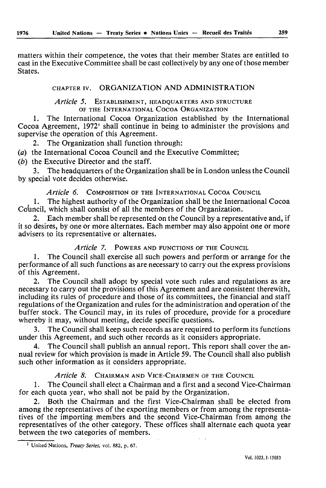matters within their competence, the votes that their member States are entitled to cast in the Executive Committee shall be cast collectively by any one of those member States.

# CHAPTER iv. ORGANIZATION AND ADMINISTRATION

## *Article 5.* ESTABLISHMENT, HEADQUARTERS AND STRUCTURE OF THE INTERNATIONAL COCOA ORGANIZATION

1. The International Cocoa Organization established by the International Cocoa Agreement, 1972' shall continue in being to administer the provisions and supervise the operation of this Agreement.

2. The Organization shall function through:

*(a)* the International Cocoa Council and the Executive Committee;

*(b)* the Executive Director and the staff.

3. The headquarters of the Organization shall be in London unless the Council by special vote decides otherwise.

# *Article 6.* COMPOSITION OF THE INTERNATIONAL COCOA COUNCIL

1. The highest authority of the Organization shall be the International Cocoa Council, which shall consist of all the members of the Organization.

Each member shall be represented on the Council by a representative and, if it so desires, by one or more alternates. Each member may also appoint one or more advisers to its representative or alternates.

# *Article 7.* POWERS AND FUNCTIONS OF THE COUNCIL

1. The Council shall exercise all such powers and perform or arrange for the performance of all such functions as are necessary to carry out the express provisions of this Agreement.

2. The Council shall adopt by special vote such rules and regulations as are necessary to carry out the provisions of this Agreement and are consistent therewith, including its rules of procedure and those of its committees, the financial and staff regulations of the Organization and rules for the administration and operation of the buffer stock. The Council may, in its rules of procedure, provide for a procedure whereby it may, without meeting, decide specific questions.

3. The Council shall keep such records as are required to perform its functions under this Agreement, and such other records as it considers appropriate.

4. The Council shall publish an annual report. This report shall cover the an nual review for which provision is made in Article 59. The Council shall also publish such other information as it considers appropriate.

# *Article 8.* CHAIRMAN AND VICE-CHAIRMEN OF THE COUNCIL

1. The Council shall elect a Chairman and a first and a second Vice-Chairman for each quota year, who shall not be paid by the Organization.

2. Both the Chairman and the first Vice-Chairman shall be elected from among the representatives of the exporting members or from among the representa tives of the importing members and the second Vice-Chairman from among the representatives of the other category. These offices shall alternate each quota year between the two categories of members.

United Nations, *Treaty Series,* vol. 882, p. 67.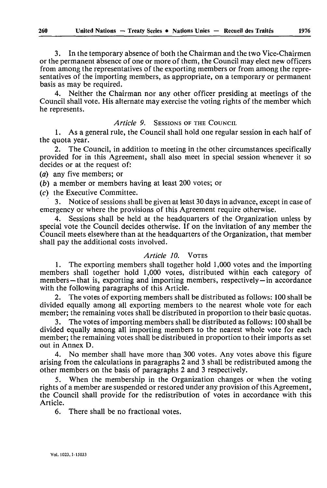3. In the temporary absence of both the Chairman and the two Vice-Chairmen or the permanent absence of one or more of them, the Council may elect new officers from among the representatives of the exporting members or from among the repre sentatives of the importing members, as appropriate, on a temporary or permanent basis as may be required.

4. Neither the Chairman nor any other officer presiding at meetings of the Council shall vote. His alternate may exercise the voting rights of the member which he represents.

# *Article 9.* SESSIONS OF THE COUNCIL

1. As a general rule, the Council shall hold one regular session in each half of the quota year.

2. The Council, in addition to meeting in the other circumstances specifically provided for in this Agreement, shall also meet in special session whenever it so decides or at the request of:

*(a)* any five members; or

*(b)* a member or members having at least 200 votes; or

(c) the Executive Committee.

3. Notice of sessions shall be given at least 30 days in advance, except in case of emergency or where the provisions of this Agreement require otherwise.

Sessions shall be held at the headquarters of the Organization unless by special vote the Council decides otherwise. If on the invitation of any member the Council meets elsewhere than at the headquarters of the Organization, that member shall pay the additional costs involved.

#### *Article 10.* VOTES

1. The exporting members shall together hold 1,000 votes and the importing members shall together hold 1,000 votes, distributed within each category of members - that is, exporting and importing members, respectively - in accordance with the following paragraphs of this Article.

2. The votes of exporting members shall be distributed as follows: 100 shall be divided equally among all exporting members to the nearest whole vote for each member; the remaining votes shall be distributed in proportion to their basic quotas.

3. The votes of importing members shall be distributed as follows: 100 shall be divided equally among all importing members to the nearest whole vote for each member; the remaining votes shall be distributed in proportion to their imports as set out in Annex D.

4. No member shall have more than 300 votes. Any votes above this figure arising from the calculations in paragraphs 2 and 3 shall be redistributed among the other members on the basis of paragraphs 2 and 3 respectively.

5. When the membership in the Organization changes or when the voting rights of a member are suspended or restored under any provision of this Agreement, the Council shall provide for the redistribution of votes in accordance with this Article.

6. There shall be no fractional votes.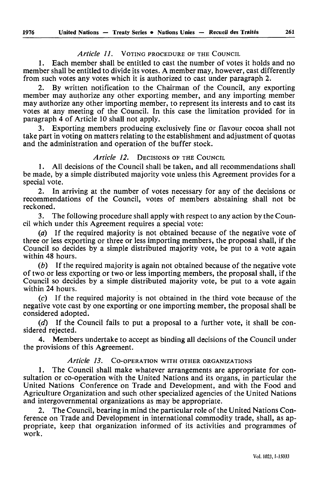## *Article 11.* VOTING PROCEDURE OF THE COUNCIL

1. Each member shall be entitled to cast the number of votes it holds and no member shall be entitled to divide its votes. A member may, however, cast differently from such votes any votes which it is authorized to cast under paragraph 2.

2. By written notification to the Chairman of the Council, any exporting member may authorize any other exporting member, and any importing member may authorize any other importing member, to represent its interests and to cast its votes at any meeting of the Council. In this case the limitation provided for in paragraph 4 of Article 10 shall not apply.

3. Exporting members producing exclusively fine or flavour cocoa shall not take part in voting on matters relating to the establishment and adjustment of quotas and the administration and operation of the buffer stock.

## *Article 12.* DECISIONS OF THE COUNCIL

1. All decisions of the Council shall be taken, and all recommendations shall be made, by a simple distributed majority vote unless this Agreement provides for a special vote.

2. In arriving at the number of votes necessary for any of the decisions or recommendations of the Council, votes of members abstaining shall not be reckoned.

3. The following procedure shall apply with respect to any action by the Coun cil which under this Agreement requires a special vote:

*(a)* If the required majority is not obtained because of the negative vote of three or less exporting or three or less importing members, the proposal shall, if the Council so decides by a simple distributed majority vote, be put to a vote again within 48 hours.

*(b)* If the required majority is again not obtained because of the negative vote of two or less exporting or two or less importing members, the proposal shall, if the Council so decides by a simple distributed majority vote, be put to a vote again within 24 hours.

(c) If the required majority is not obtained in the third vote because of the negative vote cast by one exporting or one importing member, the proposal shall be considered adopted.

*(d)* If the Council fails to put a proposal to a further vote, it shall be con sidered rejected.

4. Members undertake to accept as binding all decisions of the Council under the provisions of this Agreement.

# *Article 13.* CO-OPERATION WITH OTHER ORGANIZATIONS

1. The Council shall make whatever arrangements are appropriate for con sultation or co-operation with the United Nations and its organs, in particular the United Nations Conference on Trade and Development, and with the Food and Agriculture Organization and such other specialized agencies of the United Nations and intergovernmental organizations as may be appropriate.

2. The Council, bearing in mind the particular role of the United Nations Con ference on Trade and Development in international commodity trade, shall, as ap propriate, keep that organization informed of its activities and programmes of work.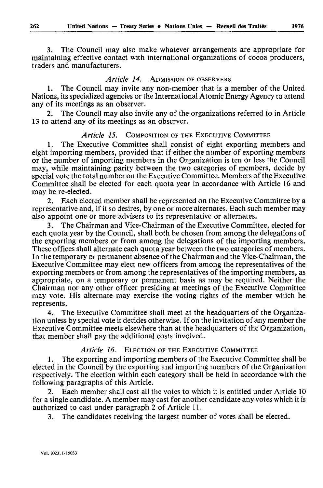3. The Council may also make whatever arrangements are appropriate for maintaining effective contact with international organizations of cocoa producers, traders and manufacturers.

# *Article 14.* ADMISSION OF OBSERVERS

1. The Council may invite any non-member that is a member of the United Nations, its specialized agencies or the International Atomic Energy Agency to attend any of its meetings as an observer.

2. The Council may also invite any of the organizations referred to in Article 13 to attend any of its meetings as an observer.

# *Article 15.* COMPOSITION OF THE EXECUTIVE COMMITTEE

1. The Executive Committee shall consist of eight exporting members and eight importing members, provided that if either the number of exporting members or the number of importing members in the Organization is ten or less the Council may, while maintaining parity between the two categories of members, decide by special vote the total number on the Executive Committee. Members of the Executive Committee shall be elected for each quota year in accordance with Article 16 and may be re-elected.

2. Each elected member shall be represented on the Executive Committee by a representative and, if it so desires, by one or more alternates. Each such member may also appoint one or more advisers to its representative or alternates.

3. The Chairman and Vice-Chairman of the Executive Committee, elected for each quota year by the Council, shall both be chosen from among the delegations of the exporting members or from among the delegations of the importing members. These offices shall alternate each quota year between the two categories of members. In the temporary or permanent absence of the Chairman and the Vice-Chairman, the Executive Committee may elect new officers from among the representatives of the exporting members or from among the representatives of the importing members, as appropriate, on a temporary or permanent basis as may be required. Neither the Chairman nor any other officer presiding at meetings of the Executive Committee may vote. His alternate may exercise the voting rights of the member which he represents.

4. The Executive Committee shall meet at the headquarters of the Organiza tion unless by special vote it decides otherwise. If on the invitation of any member the Executive Committee meets elsewhere than at the headquarters of the Organization, that member shall pay the additional costs involved.

# *Article 16.* ELECTION OF THE EXECUTIVE COMMITTEE

1. The exporting and importing members of the Executive Committee shall be elected in the Council by the exporting and importing members of the Organization respectively. The election within each category shall be held in accordance with the following paragraphs of this Article.

2. Each member shall cast all the votes to which it is entitled under Article 10 for a single candidate. A member may cast for another candidate any votes which it is authorized to cast under paragraph 2 of Article 11.

3. The candidates receiving the largest number of votes shall be elected.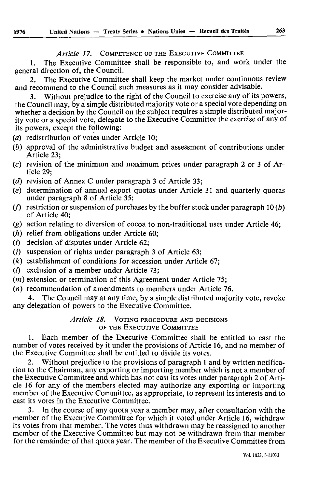*Article 17.* COMPETENCE OF THE EXECUTIVE COMMITTEE

1. The Executive Committee shall be responsible to, and work under the general direction of, the Council.

2. The Executive Committee shall keep the market under continuous review and recommend to the Council such measures as it may consider advisable.

3. Without prejudice to the right of the Council to exercise any of its powers, the Council may, by a simple distributed majority vote or a special vote depending on whether a decision by the Council on the subject requires a simple distributed major ity vote or a special vote, delegate to the Executive Committee the exercise of any of its powers, except the following:

- *(a)* redistribution of votes under Article 10;
- *(b)* approval of the administrative budget and assessment of contributions under Article 23;
- (c) revision of the minimum and maximum prices under paragraph 2 or 3 of Ar ticle 29;
- *(d)* revision of Annex C under paragraph 3 of Article 33;
- *(e)* determination of annual export quotas under Article 31 and quarterly quotas under paragraph 8 of Article 35;
- (/) restriction or suspension of purchases by the buffer stock under paragraph 10 *(b)* of Article 40;
- (g) action relating to diversion of cocoa to non-traditional uses under Article 46;
- *(h)* relief from obligations under Article 60;
- $(i)$  decision of disputes under Article 62:
- $(i)$  suspension of rights under paragraph 3 of Article 63;
- *(k)* establishment of conditions for accession under Article 67;
- (/) exclusion of a member under Article 73;
- *(m)* extension or termination of this Agreement under Article 75;
- $(n)$  recommendation of amendments to members under Article 76.

4. The Council may at any time, by a simple distributed majority vote, revoke any delegation of powers to the Executive Committee.

> *Article 18.* VOTING PROCEDURE AND DECISIONS OF THE EXECUTIVE COMMITTEE

1. Each member of the Executive Committee shall be entitled to cast the number of votes received by it under the provisions of Article 16, and no member of the Executive Committee shall be entitled to divide its votes.

Without prejudice to the provisions of paragraph 1 and by written notification to the Chairman, any exporting or importing member which is not a member of the Executive Committee and which has not cast its votes under paragraph 2 of Arti cle 16 for any of the members elected may authorize any exporting or importing member of the Executive Committee, as appropriate, to represent its interests and to cast its votes in the Executive Committee.

3. In the course of any quota year a member may, after consultation with the member of the Executive Committee for which it voted under Article 16, withdraw its votes from that member. The votes thus withdrawn may be reassigned to another member of the Executive Committee but may not be withdrawn from that member for the remainder of that quota year. The member of the Executive Committee from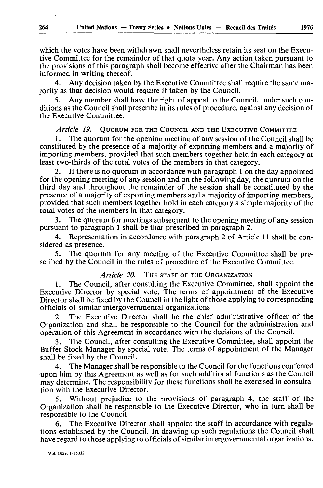which the votes have been withdrawn shall nevertheless retain its seat on the Execu tive Committee for the remainder of that quota year. Any action taken pursuant to the provisions of this paragraph shall become effective after the Chairman has been informed in writing thereof.

4. Any decision taken by the Executive Committee shall require the same ma jority as that decision would require if taken by the Council.

5. Any member shall have the right of appeal to the Council, under such con ditions as the Council shall prescribe in its rules of procedure, against any decision of the Executive Committee.

# *Article 19.* QUORUM FOR THE COUNCIL AND THE EXECUTIVE COMMITTEE

1. The quorum for the opening meeting of any session of the Council shall be constituted by the presence of a majority of exporting members and a majority of importing members, provided that such members together hold in each category at least two-thirds of the total votes of the members in that category.

2. If there is no quorum in accordance with paragraph 1 on the day appointed for the opening meeting of any session and on the following day, the quorum on the third day and throughout the remainder of the session shall be constituted by the presence of a majority of exporting members and a majority of importing members, provided that such members together hold in each category a simple majority of the total votes of the members in that category.

The quorum for meetings subsequent to the opening meeting of any session pursuant to paragraph 1 shall be that prescribed in paragraph 2.

4. Representation in accordance with paragraph 2 of Article 11 shall be con sidered as presence.

5. The quorum for any meeting of the Executive Committee shall be pre scribed by the Council in the rules of procedure of the Executive Committee.

## *Article 20.* THE STAFF OF THE ORGANIZATION

1. The Council, after consulting the Executive Committee, shall appoint the Executive Director by special vote. The terms of appointment of the Executive Director shall be fixed by the Council in the light of those applying to corresponding officials of similar intergovernmental organizations.

2. The Executive Director shall be the chief administrative officer of the Organization and shall be responsible to the Council for the administration and operation of this Agreement in accordance with the decisions of the Council.

3. The Council, after consulting the Executive Committee, shall appoint the Buffer Stock Manager by special vote. The terms of appointment of the Manager shall be fixed by the Council.

4. The Manager shall be responsible to the Council for the functions conferred upon him by this Agreement as well as for such additional functions as the Council may determine. The responsibility for these functions shall be exercised in consulta tion with the Executive Director.

5. Without prejudice to the provisions of paragraph 4, the staff of the Organization shall be responsible to the Executive Director, who in turn shall be responsible to the Council.

6. The Executive Director shall appoint the staff in accordance with regula tions established by the Council. In drawing up such regulations the Council shall have regard to those applying to officials of similar intergovernmental organizations.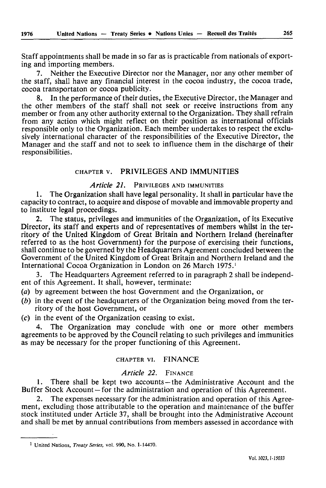Staff appointments shall be made in so far as is practicable from nationals of export ing and importing members.

7. Neither the Executive Director nor the Manager, nor any other member of the staff, shall have any financial interest in the cocoa industry, the cocoa trade, cocoa transportaton or cocoa publicity.

8. In the performance of their duties, the Executive Director, the Manager and the other members of the staff shall not seek or receive instructions from any member or from any other authority external to the Organization. They shall refrain from any action which might reflect on their position as international officials responsible only to the Organization. Each member undertakes to respect the exclu sively international character of the responsibilities of the Executive Director, the Manager and the staff and not to seek to influence them in the discharge of their responsibilities.

#### CHAPTER v. PRIVILEGES AND IMMUNITIES

# *Article 21.* PRIVILEGES AND IMMUNITIES

1. The Organization shall have legal personality. It shall in particular have the capacity to contract, to acquire and dispose of movable and immovable property and to institute legal proceedings.

2. The status, privileges and immunities of the Organization, of its Executive Director, its staff and experts and of representatives of members whilst in the ter ritory of the United Kingdom of Great Britain and Northern Ireland (hereinafter referred to as the host Government) for the purpose of exercising their functions, shall continue to be governed by the Headquarters Agreement concluded between the Government of the United Kingdom of Great Britain and Northern Ireland and the International Cocoa Organization in London on 26 March 1975.'

3. The Headquarters Agreement referred to in paragraph 2 shall be independ ent of this Agreement. It shall, however, terminate:

- (a) by agreement between the host Government and the Organization, or
- *(b)* in the event of the headquarters of the Organization being moved from the ter ritory of the host Government, or
- (c) in the event of the Organization ceasing to exist.

4. The Organization may conclude with one or more other members agreements to be approved by the Council relating to such privileges and immunities as may be necessary for the proper functioning of this Agreement.

# CHAPTER vi. FINANCE

#### *Article 22.* FINANCE

1. There shall be kept two accounts - the Administrative Account and the Buffer Stock Account – for the administration and operation of this Agreement.

The expenses necessary for the administration and operation of this Agreement, excluding those attributable to the operation and maintenance of the buffer stock instituted under Article 37, shall be brought into the Administrative Account and shall be met by annual contributions from members assessed in accordance with

<sup>1</sup> United Nations, *Treaty Series,* vol. 990, No. 1-14470.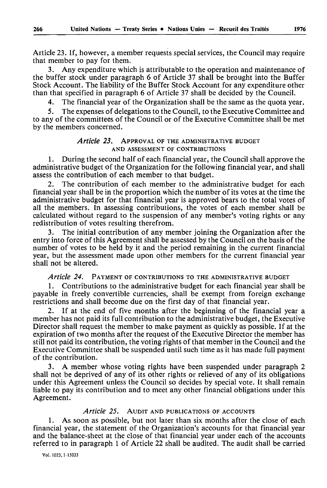Article 23. If, however, a member requests special services, the Council may require that member to pay for them.

3. Any expenditure which is attributable to the operation and maintenance of the buffer stock under paragraph 6 of Article 37 shall be brought into the Buffer Stock Account. The liability of the Buffer Stock Account for any expenditure other than that specified in paragraph 6 of Article 37 shall be decided by the Council.

4. The financial year of the Organization shall be the same as the quota year.

5. The expenses of delegations to the Council, to the Executive Committee and to any of the committees of the Council or of the Executive Committee shall be met by the members concerned.

## *Article 23.* APPROVAL OF THE ADMINISTRATIVE BUDGET AND ASSESSMENT OF CONTRIBUTIONS

1. During the second half of each financial year, the Council shall approve the administrative budget of the Organization for the following financial year, and shall assess the contribution of each member to that budget.

2. The contribution of each member to the administrative budget for each financial year shall be in the proportion which the number of its votes at the time the administrative budget for that financial year is approved bears to the total votes of all the members. In assessing contributions, the votes of each member shall be calculated without regard to the suspension of any member's voting rights or any redistribution of votes resulting therefrom.

The initial contribution of any member joining the Organization after the entry into force of this Agreement shall be assessed by the Council on the basis of the number of votes to be held by it and the period remaining in the current financial year, but the assessment made upon other members for the current financial year shall not be altered.

*Article 24.* PAYMENT OF CONTRIBUTIONS TO THE ADMINISTRATIVE BUDGET

1. Contributions to the administrative budget for each financial year shall be payable in freely convertible currencies, shall be exempt from foreign exchange restrictions and shall become due on the first day of that financial year.

If at the end of five months after the beginning of the financial year a member has not paid its full contribution to the administrative budget, the Executive Director shall request the member to make payment as quickly as possible. If at the expiration of two months after the request of the Executive Director the member has still not paid its contribution, the voting rights of that member in the Council and the Executive Committee shall be suspended until such time as it has made full payment of the contribution.

3. A member whose voting rights have been suspended under paragraph 2 shall not be deprived of any of its other rights or relieved of any of its obligations under this Agreement unless the Council so decides by special vote. It shall remain liable to pay its contribution and to meet any other financial obligations under this Agreement.

# *Article 25.* AUDIT AND PUBLICATIONS OF ACCOUNTS

1. As soon as possible, but not later than six months after the close of each financial year, the statement of the Organization's accounts for that financial year and the balance-sheet at the close of that financial year under each of the accounts referred to in paragraph 1 of Article 22 shall be audited. The audit shall be carried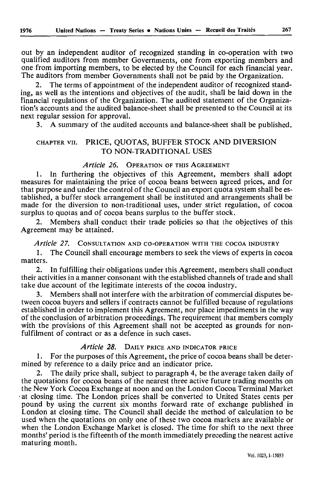out by an independent auditor of recognized standing in co-operation with two qualified auditors from member Governments, one from exporting members and one from importing members, to be elected by the Council for each financial year. The auditors from member Governments shall not be paid by the Organization.

2. The terms of appointment of the independent auditor of recognized stand ing, as well as the intentions and objectives of the audit, shall be laid down in the Financial regulations of the Organization. The audited statement of the Organiza tion's accounts and the audited balance-sheet shall be presented to the Council at its next regular session for approval.

3. A summary of the audited accounts and balance-sheet shall be published.

# CHAPTER vu. PRICE, QUOTAS, BUFFER STOCK AND DIVERSION TO NON-TRADITIONAL USES

### *Article 26.* OPERATION OF THIS AGREEMENT

1. In furthering the objectives of this Agreement, members shall adopt measures for maintaining the price of cocoa beans between agreed prices, and for that purpose and under the control of the Council an export quota system shall be es tablished, a buffer stock arrangement shall be instituted and arrangements shall be made for the diversion to non-traditional uses, under strict regulation, of cocoa surplus to quotas and of cocoa beans surplus to the buffer stock.

2. Members shall conduct their trade policies so that the objectives of this Agreement may be attained.

## *Article 27.* CONSULTATION AND CO-OPERATION WITH THE COCOA INDUSTRY

1. The Council shall encourage members to seek the views of experts in cocoa matters.

2. In fulfilling their obligations under this Agreement, members shall conduct their activities in a manner consonant with the established channels of trade and shall take due account of the legitimate interests of the cocoa industry.

3. Members shall not interfere with the arbitration of commercial disputes be tween cocoa buyers and sellers if contracts cannot be fulfilled because of regulations established in order to implement this Agreement, nor place impediments in the way of the conclusion of arbitration proceedings. The requirement that members comply with the provisions of this Agreement shall not be accepted as grounds for nonfulfilment of contract or as a defence in such cases.

# *Article 28.* DAILY PRICE AND INDICATOR PRICE

1. For the purposes of this Agreement, the price of cocoa beans shall be deter mined by reference to a daily price and an indicator price.

The daily price shall, subject to paragraph 4, be the average taken daily of the quotations for cocoa beans of the nearest three active future trading months on the New York Cocoa Exchange at noon and on the London Cocoa Terminal Market at closing time. The London prices shall be converted to United States cents per pound by using the current six months forward rate of exchange published in London at closing time. The Council shall decide the method of calculation to be used when the quotations on only one of these two cocoa markets are available or when the London Exchange Market is closed. The time for shift to the next three months' period is the fifteenth of the month immediately preceding the nearest active maturing month.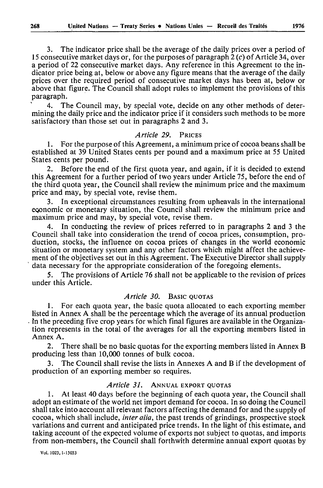3. The indicator price shall be the average of the daily prices over a period of 15 consecutive market days or, for the purposes of paragraph 2 *(c)* of Article 34, over a period of 22 consecutive market days. Any reference in this Agreement to the in dicator price being at, below or above any figure means that the average of the daily prices over the required period of consecutive market days has been at, below or above that figure. The Council shall adopt rules to implement the provisions of this paragraph.

4. The Council may, by special vote, decide on any other methods of deter mining the daily price and the indicator price if it considers such methods to be more satisfactory than those set out in paragraphs 2 and 3.

#### *Article 29.* PRICES

1. For the purpose of this Agreement, a minimum price of cocoa beans shall be established at 39 United States cents per pound and a maximum price at 55 United States cents per pound.

2. Before the end of the first quota year, and again, if it is decided to extend this Agreement for a further period of two years under Article 75, before the end of the third quota year, the Council shall review the minimum price and the maximum price and may, by special vote, revise them.

3. In exceptional circumstances resulting from upheavals in the international economic or monetary situation, the Council shall review the minimum price and maximum price and may, by special vote, revise them.

4. In conducting the review of prices referred to in paragraphs 2 and 3 the Council shall take into consideration the trend of cocoa prices, consumption, pro duction, stocks, the influence on cocoa prices of changes in the world economic situation or monetary system and any other factors which might affect the achieve ment of the objectives set out in this Agreement. The Executive Director shall supply data necessary for the appropriate consideration of the foregoing elements.

5. The provisions of Article 76 shall not be applicable to the revision of prices under this Article.

# *Article 30.* BASIC QUOTAS

1. For each quota year, the basic quota allocated to each exporting member listed in Annex A shall be the percentage which the average of its annual production  $\cdot$  in the preceding five crop years for which final figures are available in the Organization represents in the total of the averages for all the exporting members listed in Annex A.

2. There shall be no basic quotas for the exporting members listed in Annex B producing less than 10,000 tonnes of bulk cocoa.

3. The Council shall revise the lists in Annexes A and B if the development of production of an exporting member so requires.

#### *Article 31.* ANNUAL EXPORT QUOTAS

1. At least 40 days before the beginning of each quota year, the Council shall adopt an estimate of the world net import demand for cocoa. In so doing the Council shall take into account all relevant factors affecting the demand for and the supply of cocoa, which shall include, *inter alia,* the past trends of grindings, prospective stock variations and current and anticipated price trends. In the light of this estimate, and taking account of the expected volume of exports not subject to quotas, and imports from non-members, the Council shall forthwith determine annual export quotas by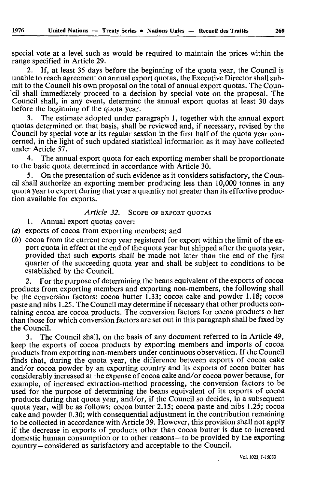special vote at a level such as would be required to maintain the prices within the range specified in Article 29.

2. If, at least 35 days before the beginning of the quota year, the Council is unable to reach agreement on annual export quotas, the Executive Director shall sub mit to the Council his own proposal on the total of annual export quotas. The Coun- \*cil shall immediately proceed to a decision by special vote on the proposal. The Council shall, in any event, determine the annual export quotas at least 30 days before the beginning of the quota year.

3. The estimate adopted under paragraph 1, together with the annual export quotas determined on that basis, shall be reviewed and, if necessary, revised by the Council by special vote at its regular session in the first half of the quota year con cerned, in the light of such updated statistical information as it may have collected under Article 57.

4. The annual export quota for each exporting member shall be proportionate to the basic quota determined in accordance with Article 30.

5. On the presentation of such evidence as it considers satisfactory, the Coun cil shall authorize an exporting member producing less than 10,000 tonnes in any quota year to export during that year a quantity not greater than its effective produc tion available for exports.

# *Article 32.* SCOPE OF EXPORT QUOTAS

1. Annual export quotas cover:

*(a)* exports of cocoa from exporting members; and

*(b)* cocoa from the current crop year registered for export within the limit of the ex port quota in effect at the end of the quota year but shipped after the quota year, provided that such exports shall be made not later than the end of the first quarter of the succeeding quota year and shall be subject to conditions to be established by the Council.

2. For the purpose of determining the beans equivalent of the exports of cocoa products from exporting members and exporting non-members, the following shall be the conversion factors: cocoa butter 1.33; cocoa cake and powder 1.18; cocoa paste and nibs 1.25. The Council may determine if necessary that other products con taining cocoa are cocoa products. The conversion factors for cocoa products other than those for which conversion factors are set out in this paragraph shall be fixed by the Council.

3. The Council shall, on the basis of any document referred to in Article 49, keep the exports of cocoa products by exporting members and imports of cocoa products from exporting non-members under continuous observation. If the Council finds that, during the quota year, the difference between exports of cocoa cake and/or cocoa powder by an exporting country and its exports of cocoa butter has considerably increased at the expense of cocoa cake and/or cocoa power because, for example, of increased extraction-method processing, the conversion factors to be used for the purpose of determining the beans equivalent of its exports of cocoa products during that quota year, and/or, if the Council so decides, in a subsequent quota year, will be as follows: cocoa butter 2.15; cocoa paste and nibs 1.25; cocoa cake and powder 0.30; with consequential adjustment in the contribution remaining to be collected in accordance with Article 39. However, this provision shall not apply if the decrease in exports of products other than cocoa butter is due to increased domestic human consumption or to other reasons - to be provided by the exporting country-considered as satisfactory and acceptable to the Council.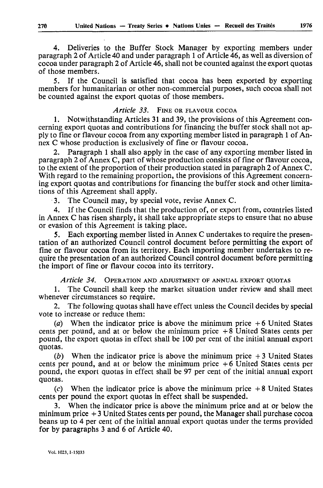4. Deliveries to the Buffer Stock Manager by exporting members under paragraph 2 of Article 40 and under paragraph 1 of Article 46, as well as diversion of cocoa under paragraph 2 of Article 46, shall not be counted against the export quotas of those members.

5. If the Council is satisfied that cocoa has been exported by exporting members for humanitarian or other non-commercial purposes, such cocoa shall not be counted against the export quotas of those members.

# *Article 33.* FINE OR FLAVOUR COCOA

1. Notwithstanding Articles 31 and 39, the provisions of this Agreement con cerning export quotas and contributions for financing the buffer stock shall not ap ply to fine or flavour cocoa from any exporting member listed in paragraph 1 of An nex C whose production is exclusively of fine or flavour cocoa.

2. Paragraph 1 shall also apply in the case of any exporting member listed in paragraph 2 of Annex C, part of whose production consists of fine or flavour cocoa, to the extent of the proportion of their production stated in paragraph 2 of Annex C. With regard to the remaining proportion, the provisions of this Agreement concern ing export quotas and contributions for financing the buffer stock and other limita tions of this Agreement shall apply.

3. The Council may, by special vote, revise Annex C.

4. If the Council finds that the production of, or export from, countries listed in Annex C has risen sharply, it shall take appropriate steps to ensure that no abuse or evasion of this Agreement is taking place.

5. Each exporting member listed in Annex C undertakes to require the presen tation of an authorized Council control document before permitting the export of fine or flavour cocoa from its territory. Each importing member undertakes to re quire the presentation of an authorized Council control document before permitting the import of fine or flavour cocoa into its territory.

*Article 34.* OPERATION AND ADJUSTMENT OF ANNUAL EXPORT QUOTAS

1. The Council shall keep the market situation under review and shall meet whenever circumstances so require.

2. The following quotas shall have effect unless the Council decides by special vote to increase or reduce them:

(a) When the indicator price is above the minimum price  $+6$  United States cents per pound, and at or below the minimum price  $+8$  United States cents per pound, the export quotas in effect shall be 100 per cent of the initial annual export quotas.

*(b)* When the indicator price is above the minimum price + 3 United States cents per pound, and at or below the minimum price  $+6$  United States cents per pound, the export quotas in effect shall be 97 per cent of the initial annual export quotas.

 $(c)$  When the indicator price is above the minimum price  $+8$  United States cents per pound the export quotas in effect shall be suspended.

3. When the indicator price is above the minimum price and at or below the minimum price + 3 United States cents per pound, the Manager shall purchase cocoa beans up to 4 per cent of the initial annual export quotas under the terms provided for by paragraphs 3 and 6 of Article 40.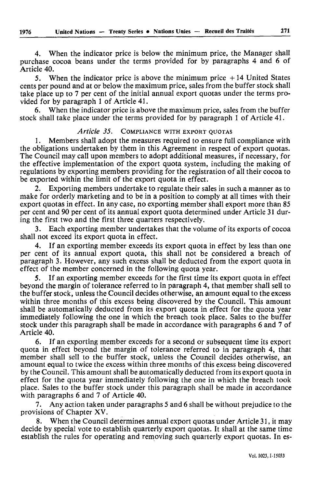4. When the indicator price is below the minimum price, the Manager shall purchase cocoa beans under the terms provided for by paragraphs 4 and 6 of Article 40.

5. When the indicator price is above the minimum price  $+14$  United States cents per pound and at or below the maximum price, sales from the buffer stock shall take place up to 7 per cent of the initial annual export quotas under the terms pro vided for by paragraph 1 of Article 41.

6. When the indicator price is above the maximum price, sales from the buffer stock shall take place under the terms provided for by paragraph 1 of Article 41.

# Article 35. COMPLIANCE WITH EXPORT OUOTAS

1. Members shall adopt the measures required to ensure full compliance with the obligations undertaken by them in this Agreement in respect of export quotas. The Council may call upon members to adopt additional measures, if necessary, for the effective implementation of the export quota system, including the making of regulations by exporting members providing for the registration of all their cocoa to be exported within the limit of the export quota in effect.

2. Exporting members undertake to regulate their sales in such a manner as to make for orderly marketing and to be in a position to comply at all times with their export quotas in effect. In any case, no exporting member shall export more than 85 per cent and 90 per cent of its annual export quota determined under Article 31 dur ing the first two and the first three quarters respectively.

3. Each exporting member undertakes that the volume of its exports of cocoa shall not exceed its export quota in effect.

If an exporting member exceeds its export quota in effect by less than one per cent of its annual export quota, this shall not be considered a breach of paragraph 3. However, any such excess shall be deducted from the export quota in effect of the member concerned in the following quota year.

5. If an exporting member exceeds for the first time its export quota in effect beyond the margin of tolerance referred to in paragraph 4, that member shall sell to the buffer stock, unless the Council decides otherwise, an amount equal to the excess within three months of this excess being discovered by the Council. This amount shall be automatically deducted from its export quota in effect for the quota year immediately following the one in which the breach took place. Sales to the buffer stock under this paragraph shall be made in accordance with paragraphs 6 and 7 of Article 40.

6. If an exporting member exceeds for a second or subsequent time its export quota in effect beyond the margin of tolerance referred to in paragraph 4, that member shall sell to the buffer stock, unless the Council decides otherwise, an amount equal to twice the excess within three months of this excess being discovered by the Council. This amount shall be automatically deducted from its export quota in effect for the quota year immediately following the one in which the breach took place. Sales to the buffer stock under this paragraph shall be made in accordance with paragraphs 6 and 7 of Article 40.

7. Any action taken under paragraphs 5 and 6 shall be without prejudice to the provisions of Chapter XV.

8. When the Council determines annual export quotas under Article 31, it may decide by special vote to establish quarterly export quotas. It shall at the same time establish the rules for operating and removing such quarterly export quotas. In es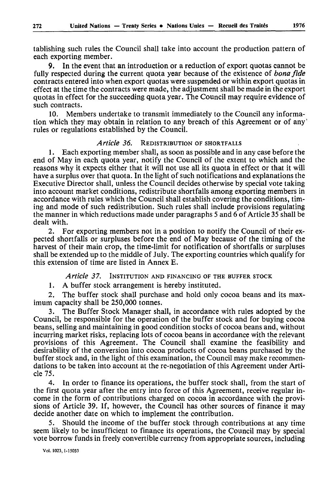tablishing such rules the Council shall take into account the production pattern of each exporting member.

9. In the event that an introduction or a reduction of export quotas cannot be fully respected during the current quota year because of the existence of *bonafide*  contracts entered into when export quotas were suspended or within export quotas in effect at the time the contracts were made, the adjustment shall be made in the export quotas in effect for the succeeding quota year. The Council may require evidence of such contracts.

10. Members undertake to transmit immediately to the Council any informa tion which they may obtain in relation to any breach of this Agreement or of any ' rules or regulations established by the Council.

#### *Article 36.* REDISTRIBUTION OF SHORTFALLS

1. Each exporting member shall, as soon as possible and in any case before the end of May in each quota year, notify the Council of the extent to which and the reasons why it expects either that it will not use all its quota in effect or that it will have a surplus over that quota. In the light of such notifications and explanations the Executive Director shall, unless the Council decides otherwise by special vote taking into account market conditions, redistribute shortfalls among exporting members in accordance with rules which the Council shall establish covering the conditions, tim ing and mode of such redistribution. Such rules shall include provisions regulating the manner in which reductions made under paragraphs 5 and 6 of Article 35 shall be dealt with.

2. For exporting members not in a position to notify the Council of their ex pected shortfalls or surpluses before the end of May because of the timing of the harvest of their main crop, the time-limit for notification of shortfalls or surpluses shall be extended up to the middle of July. The exporting countries which qualify for this extension of time are listed in Annex E.

*Article 37.* INSTITUTION AND FINANCING OF THE BUFFER STOCK

1. A buffer stock arrangement is hereby instituted.

2. The buffer stock shall purchase and hold only cocoa beans and its max imum capacity shall be 250,000 tonnes.

3. The Buffer Stock Manager shall, in accordance with rules adopted by the Council, be responsible for the operation of the buffer stock and for buying cocoa beans, selling and maintaining in good condition stocks of cocoa beans and, without incurring market risks, replacing lots of cocoa beans in accordance with the relevant provisions of this Agreement. The Council shall examine the feasibility and desirability of the conversion into cocoa products of cocoa beans purchased by the buffer stock and, in the light of this examination, the Council may make recommen dations to be taken into account at the re-negotiation of this Agreement under Arti cle 75.

4. In order to finance its operations, the buffer stock shall, from the start of the first quota year after the entry into force of this Agreement, receive regular in come in the form of contributions charged on cocoa in accordance with the provi sions of Article 39. If, however, the Council has other sources of finance it may decide another date on which to implement the contribution.

5. Should the income of the buffer stock through contributions at any time seem likely to be insufficient to finance its operations, the Council may by special vote borrow funds in freely convertible currency from appropriate sources, including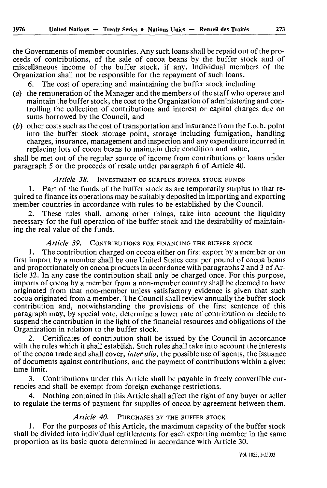the Governments of member countries. Any such loans shall be repaid out of the pro ceeds of contributions, of the sale of cocoa beans by the buffer stock and of miscellaneous income of the buffer stock, if any. Individual members of the Organization shall not be responsible for the repayment of such loans.

6. The cost of operating and maintaining the buffer stock including

- *(a)* the remuneration of the Manager and the members of the staff who operate and maintain the buffer stock, the cost to the Organization of administering and con trolling the collection of contributions and interest or capital charges due on sums borrowed by the Council, and
- $(b)$  other costs such as the cost of transportation and insurance from the f.o.b. point into the buffer stock storage point, storage including fumigation, handling charges, insurance, management and inspection and any expenditure incurred in replacing lots of cocoa beans to maintain their condition and value,

shall be met out of the regular source of income from contributions or loans under paragraph 5 or the proceeds of resale under paragraph 6 of Article 40.

# *Article 38.* INVESTMENT OF SURPLUS BUFFER STOCK FUNDS

1. Part of the funds of the buffer stock as are temporarily surplus to that re quired to finance its operations may be suitably deposited in importing and exporting member countries in accordance with rules to be established by the Council.

2. These rules shall, among other things, take into account the liquidity necessary for the full operation of the buffer stock and the desirability of maintain ing the real value of the funds.

# *Article 39.* CONTRIBUTIONS FOR FINANCING THE BUFFER STOCK

1. The contribution charged on cocoa either on first export by a member or on first import by a member shall be one United States cent per pound of cocoa beans and proportionately on cocoa products in accordance with paragraphs 2 and 3 of Ar ticle 32. In any case the contribution shall only be charged once. For this purpose, imports of cocoa by a member from a non-member country shall be deemed to have originated from that non-member unless satisfactory evidence is given that such cocoa originated from a member. The Council shall review annually the buffer stock contribution and, notwithstanding the provisions of the first sentence of this paragraph may, by special vote, determine a lower rate of contribution or decide to suspend the contribution in the light of the financial resources and obligations of the Organization in relation to the buffer stock.

2. Certificates of contribution shall be issued by the Council in accordance with the rules which it shall establish. Such rules shall take into account the interests of the cocoa trade and shall cover, *inter alia,* the possible use of agents, the issuance of documents against contributions, and the payment of contributions within a given time limit.

3. Contributions under this Article shall be payable in freely convertible cur rencies and shall be exempt from foreign exchange restrictions.

Nothing contained in this Article shall affect the right of any buyer or seller to regulate the terms of payment for supplies of cocoa by agreement between them.

#### *Article 40.* PURCHASES BY THE BUFFER STOCK

1. For the purposes of this Article, the maximum capacity of the buffer stock shall be divided into individual entitlements for each exporting member in the same proportion as its basic quota determined in accordance with Article 30.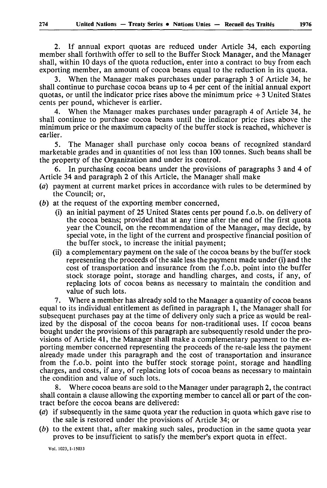2. If annual export quotas are reduced under Article 34, each exporting member shall forthwith offer to sell to the Buffer Stock Manager, and the Manager shall, within 10 days of the quota reduction, enter into a contract to buy from each exporting member, an amount of cocoa beans equal to the reduction in its quota.

3. When the Manager makes purchases under paragraph 3 of Article 34, he shall continue to purchase cocoa beans up to 4 per cent of the initial annual export quotas, or until the indicator price rises above the minimum price  $+3$  United States cents per pound, whichever is earlier.

4. When the Manager makes purchases under paragraph 4 of Article 34, he shall continue to purchase cocoa beans until the indicator price rises above the minimum price or the maximum capacity of the buffer stock is reached, whichever is earlier.

5. The Manager shall purchase only cocoa beans of recognized standard marketable grades and in quantities of not less than 100 tonnes. Such beans shall be the property of the Organization and under its control.

6. In purchasing cocoa beans under the provisions of paragraphs 3 and 4 of Article 34 and paragraph 2 of this Article, the Manager shall make

- (a) payment at current market prices in accordance with rules to be determined by the Council; or,
- *(b)* at the request of the exporting member concerned,
	- (i) an initial payment of 25 United States cents per pound f.o.b. on delivery of the cocoa beans; provided that at any time after the end of the first quota year the Council, on the recommendation of the Manager, may decide, by special vote, in the light of the current and prospective financial position of the buffer stock, to increase the initial payment;
	- (ii) a complementary payment on the sale of the cocoa beans by the buffer stock representing the proceeds of the sale less the payment made under (i) and the cost of transportation and insurance from the f.o.b. point into the buffer stock storage point, storage and handling charges, and costs, if any, of replacing lots of cocoa beans as necessary to maintain the condition and value of such lots.

7. Where a member has already sold to the Manager a quantity of cocoa beans equal to its individual entitlement as defined in paragraph 1, the Manager shall for subsequent purchases pay at the time of delivery only such a price as would be real ized by the disposal of the cocoa beans for non-traditional uses. If cocoa beans bought under the provisions of this paragraph are subsequently resold under the pro visions of Article 41, the Manager shall make a complementary payment to the ex porting member concerned representing the proceeds of the re-sale less the payment already made under this paragraph and the cost of transportation and insurance from the f.o.b. point into the buffer stock storage point, storage and handling charges, and costs, if any, of replacing lots of cocoa beans as necessary to maintain the condition and value of such lots.

Where cocoa beans are sold to the Manager under paragraph 2, the contract shall contain a clause allowing the exporting member to cancel all or part of the con tract before the cocoa beans are delivered:

- *(a)* if subsequently in the same quota year the reduction in quota which gave rise to the sale is restored under the provisions of Article 34; or
- *(b)* to the extent that, after making such sales, production in the same quota year proves to be insufficient to satisfy the member's export quota in effect.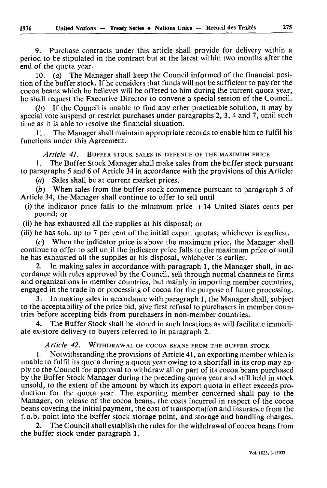9. Purchase contracts under this article shall provide for delivery within a period to be stipulated in the contract but at the latest within two months after the end of the quota year.

10. *(a)* The Manager shall keep the Council informed of the financial posi tion of the buffer stock. If he considers that funds will not be sufficient to pay for the cocoa beans which he believes will be offered to him during the current quota year, he shall request the Executive Director to convene a special session of the Council.

*(b)* If the Council is unable to find any other practicable solution, it may by special vote suspend or restrict purchases under paragraphs *2,3,4* and 7, until such time as it is able to resolve the financial situation.

11. The Manager shall maintain appropriate records to enable him to fulfil his functions under this Agreement.

*Article 4L* BUFFER STOCK SALES IN DEFENCE OF THE MAXIMUM PRICE

1. The Buffer Stock Manager shall make sales from the buffer stock pursuant to paragraphs *5* and 6 of Article 34 in accordance with the provisions of this Article:

*(a)* Sales shall be at current market prices.

*(b)* When sales from the buffer stock commence pursuant to paragraph 5 of Article 34, the Manager shall continue to offer to sell until

- (i) the indicator price falls to the minimum price  $+14$  United States cents per pound; or
- (ii) he has exhausted all the supplies at his disposal; or

(iii) he has sold up to 7 per cent of the initial export quotas; whichever is earliest.

(c) When the indicator price is above the maximum price, the Manager shall continue to offer to sell until the indicator price falls to the maximum price or until he has exhausted all the supplies at his disposal, whichever is earlier.

2. In making sales in accordance with paragraph 1, the Manager shall, in ac cordance with rules approved by the Council, sell through normal channels to firms and organizations in member countries, but mainly in importing member countries, engaged in the trade in or processing of cocoa for the purpose of future processing.

3. In making sales in accordance with paragraph 1, the Manager shall, subject to the acceptability of the price bid, give first refusal to purchasers in member coun tries before accepting bids from purchasers in non-member countries.

4. The Buffer Stock shall be stored in such locations as will facilitate immedi ate ex-store delivery to buyers referred to in paragraph 2.

*Article 42.* WITHDRAWAL OF COCOA BEANS FROM THE BUFFER STOCK

1. Notwithstanding the provisions of Article 41, an exporting member which is unable to fulfil its quota during a quota year owing to a shortfall in its crop may ap ply to the Council for approval to withdraw all or part of its cocoa beans purchased by the Buffer Stock Manager during the preceding quota year and still held in stock unsold, to the extent of the amount by which its export quota in effect exceeds pro duction for the quota year. The exporting member concerned shall pay to the Manager, on release of the cocoa beans, the costs incurred in respect of the cocoa beans covering the initial payment, the cost of transportation and insurance from the f.o.b. point into the buffer stock storage point, and storage and handling charges.

2. The Council shall establish the rules for the withdrawal of cocoa beans from the buffer stock under paragraph 1.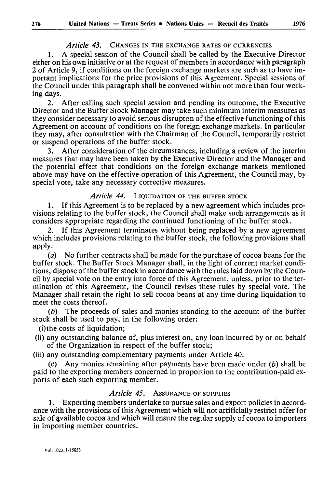# *Article 43.* CHANGES IN THE EXCHANGE RATES OF CURRENCIES

1. A special session of the Council shall be called by the Executive Director either on his own initiative or at the request of members in accordance with paragraph 2 of Article 9, if conditions on the foreign exchange markets are such as to have im portant implications for the price provisions of this Agreement. Special sessions of the Council under this paragraph shall be convened within not more than four work ing days.

2. After calling such special session and pending its outcome, the Executive Director and the Buffer Stock Manager may take such minimum interim measures as they consider necessary to avoid serious disrupton of the effective functioning of this Agreement on account of conditions on the foreign exchange markets. In particular they may, after consultation with the Chairman of the Council, temporarily restrict or suspend operations of the buffer stock.

3. After consideration of the circumstances, including a review of the interim measures that may have been taken by the Executive Director and the Manager and the potential effect that conditions on the foreign exchange markets mentioned above may have on the effective operation of this Agreement, the Council may, by special vote, take any necessary corrective measures.

# *Article 44.* LIQUIDATION OF THE BUFFER STOCK

1. If this Agreement is to be replaced by a new agreement which includes pro visions relating to the buffer stock, the Council shall make such arrangements as it considers appropriate regarding the continued functioning of the buffer stock.

If this Agreement terminates without being replaced by a new agreement which includes provisions relating to the buffer stock, the following provisions shall apply:

*(a)* No further contracts shall be made for the purchase of cocoa beans for the buffer stock. The Buffer Stock Manager shall, in the light of current market condi tions, dispose of the buffer stock in accordance with the rules laid down by the Coun cil by special vote on the entry into force of this Agreement, unless, prior to the ter mination of this Agreement, the Council revises these rules by special vote. The Manager shall retain the right to sell cocoa beans at any time during liquidation to meet the costs thereof.

*(b)* The proceeds of sales and monies standing to the account of the buffer stock shall be used to pay, in the following order:

(i)the costs of liquidation;

(ii) any outstanding balance of, plus interest on, any loan incurred by or on behalf of the Organization in respect of the buffer stock;

(iii) any outstanding complementary payments under Article 40.

(c) Any monies remaining after payments have been made under *(b)* shall be paid to the exporting members concerned in proportion to the contribution-paid ex ports of each such exporting member.

# *Article 45.* ASSURANCE OF SUPPLIES

1. Exporting members undertake to pursue sales and export policies in accord ance with the provisions of this Agreement which will not artificially restrict offer for sale of available cocoa and which will ensure the regular supply of cocoa to importers in importing member countries.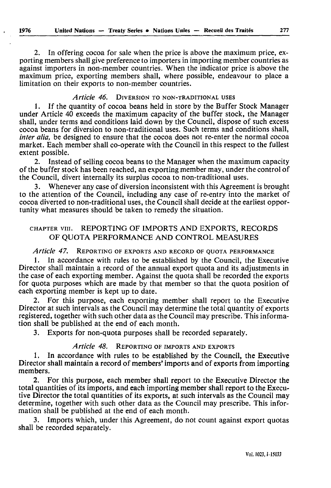2. In offering cocoa for sale when the price is above the maximum price, ex porting members shall give preference to importers in importing member countries as against importers in non-member countries. When the indicator price is above the maximum price, exporting members shall, where possible, endeavour to place a limitation on their exports to non-member countries.

# *Article 46.* DIVERSION TO NON-TRADITIONAL USES

1. If the quantity of cocoa beans held in store by the Buffer Stock Manager under Article 40 exceeds the maximum capacity of the buffer stock, the Manager shall, under terms and conditions laid down by the Council, dispose of such excess cocoa beans for diversion to non-traditional uses. Such terms and conditions shall, *inter alia,* be designed to ensure that the cocoa does not re-enter the normal cocoa market. Each member shall co-operate with the Council in this respect to the fullest extent possible.

2. Instead of selling cocoa beans to the Manager when the maximum capacity of the buffer stock has been reached, an exporting member may, under the control of the Council, divert internally its surplus cocoa to non-traditional uses.

3. Whenever any case of diversion inconsistent with this Agreement is brought to the attention of the Council, including any case of re-entry into the market of cocoa diverted to non-traditional uses, the Council shall decide at the earliest oppor tunity what measures should be taken to remedy the situation.

# CHAPTER vin. REPORTING OF IMPORTS AND EXPORTS, RECORDS OF QUOTA PERFORMANCE AND CONTROL MEASURES

# *Article 47.* REPORTING OF EXPORTS AND RECORD OF QUOTA PERFORMANCE

In accordance with rules to be established by the Council, the Executive Director shall maintain a record of the annual export quota and its adjustments in the case of each exporting member. Against the quota shall be recorded the exports for quota purposes which are made by that member so that the quota position of each exporting member is kept up to date.

2. For this purpose, each exporting member shall report to the Executive Director at such intervals as the Council may determine the total quantity of exports registered, together with such other data as the Council may prescribe. This informa tion shall be published at the end of each month.

3. Exports for non-quota purposes shall be recorded separately.

# *Article 48.* REPORTING OF IMPORTS AND EXPORTS

1. In accordance with rules to be established by the Council, the Executive Director shall maintain a record of members' imports and of exports from importing members.

2. For this purpose, each member shall report to the Executive Director the total quantities of its imports, and each importing member shall report to the Execu tive Director the total quantities of its exports, at such intervals as the Council may determine, together with such other data as the Council may prescribe. This infor mation shall be published at the end of each month.

3. Imports which, under this Agreement, do not count against export quotas shall be recorded separately.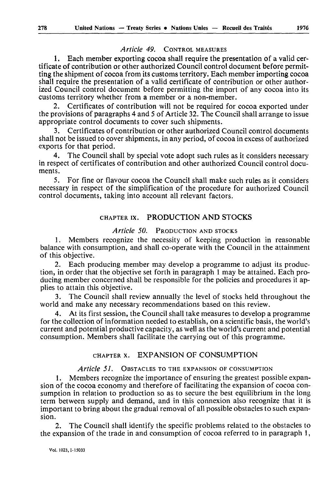# *Article 49.* CONTROL MEASURES

1. Each member exporting cocoa shall require the presentation of a valid cer tificate of contribution or other authorized Council control document before permit ting the shipment of cocoa from its customs territory. Each member importing cocoa shall require the presentation of a valid certificate of contribution or other author ized Council control document before permitting the import of any cocoa into its customs territory whether from a member or a non-member.

2. Certificates of contribution will not be required for cocoa exported under the provisions of paragraphs 4 and 5 of Article 32. The Council shall arrange to issue appropriate control documents to cover such shipments.

3. Certificates of contribution or other authorized Council control documents shall not be issued to cover shipments, in any period, of cocoa in excess of authorized exports for that period.

4. The Council shall by special vote adopt such rules as it considers necessary in respect of certificates of contribution and other authorized Council control docu ments.

5. For fine or flavour cocoa the Council shall make such rules as it considers necessary in respect of the simplification of the procedure for authorized Council control documents, taking into account all relevant factors.

# CHAPTER ix. PRODUCTION AND STOCKS

#### *Article 50.* PRODUCTION AND STOCKS

1. Members recognize the necessity of keeping production in reasonable balance with consumption, and shall co-operate with the Council in the attainment of this objective.

2. Each producing member may develop a programme to adjust its produc tion, in order that the objective set forth in paragraph 1 may be attained. Each pro ducing member concerned shall be responsible for the policies and procedures it ap plies to attain this objective.

The Council shall review annually the level of stocks held throughout the world and make any necessary recommendations based on this review.

4. At its first session, the Council shall take measures to develop a programme for the collection of information needed to establish, on a scientific basis, the world's current and potential productive capacity, as well as the world's current and potential consumption. Members shall facilitate the carrying out of this programme.

# CHAPTER x. EXPANSION OF CONSUMPTION

#### *Article 51.* OBSTACLES TO THE EXPANSION OF CONSUMPTION

1. Members recognize the importance of ensuring the greatest possible expan sion of the cocoa economy and therefore of facilitating the expansion of cocoa con sumption in relation to production so as to secure the best equilibrium in the long term between supply and demand, and in this connexion also recognize that it is important to bring about the gradual removal of all possible obstacles to such expan sion.

2. The Council shall identify the specific problems related to the obstacles to the expansion of the trade in and consumption of cocoa referred to in paragraph 1,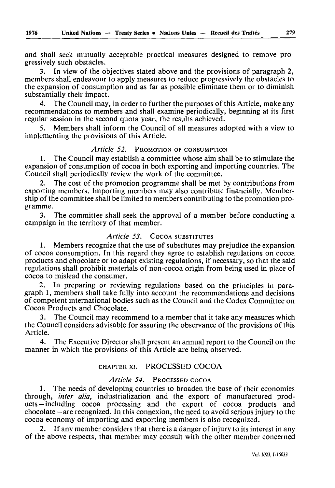and shall seek mutually acceptable practical measures designed to remove pro gressively such obstacles.

3. In view of the objectives stated above and the provisions of paragraph 2, members shall endeavour to apply measures to reduce progressively the obstacles to the expansion of consumption and as far as possible eliminate them or to diminish substantially their impact.

4. The Council may, in order to further the purposes of this Article, make any recommendations to members and shall examine periodically, beginning at its first regular session in the second quota year, the results achieved.

5. Members shall inform the Council of all measures adopted with a view to implementing the provisions of this Article.

# *Article 52.* PROMOTION OF CONSUMPTION

1. The Council may establish a committee whose aim shall be to stimulate the expansion of consumption of cocoa in both exporting and importing countries. The Council shall periodically review the work of the committee.

2. The cost of the promotion programme shall be met by contributions from exporting members. Importing members may also contribute financially. Member ship of the committee shall be limited to members contributing to the promotion pro gramme.

3. The committee shall seek the approval of a member before conducting a campaign in the territory of that member.

# *Article 53.* COCOA SUBSTITUTES

1. Members recognize that the use of substitutes may prejudice the expansion of cocoa consumption. In this regard they agree to establish regulations on cocoa products and chocolate or to adapt existing regulations, if necessary, so that the said regulations shall prohibit materials of non-cocoa origin from being used in place of cocoa to mislead the consumer.

2. In preparing or reviewing regulations based on the principles in para graph 1, members shall take fully into account the recommendations and decisions of competent international bodies such as the Council and the Codex Committee on Cocoa Products and Chocolate.

3. The Council may recommend to a member that it take any measures which the Council considers advisable for assuring the observance of the provisions of this Article.

4. The Executive Director shall present an annual report to the Council on the manner in which the provisions of this Article are being observed.

#### CHAPTER xi. PROCESSED COCOA

#### *Article 54.* PROCESSED COCOA

1. The needs of developing countries to broaden the base of their economies through, *inter alia,* industrialization and the export of manufactured prod ucts including cocoa processing and the export of cocoa products and chocolate – are recognized. In this connexion, the need to avoid serious injury to the cocoa economy of importing and exporting members is also recognized.

2. If any member considers that there is a danger of injury to its interest in any of the above respects, that member may consult with the other member concerned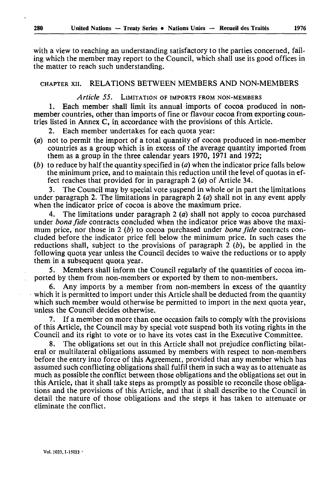with a view to reaching an understanding satisfactory to the parties concerned, fail ing which the member may report to the Council, which shall use its good offices in the matter to reach such understanding.

# CHAPTER xii. RELATIONS BETWEEN MEMBERS AND NON-MEMBERS

#### *Article 55.* LIMITATION OF IMPORTS FROM NON-MEMBERS

1. Each member shall limit its annual imports of cocoa produced in nonmember countries, other than imports of fine or flavour cocoa from exporting coun tries listed in Annex C, in accordance with the provisions of this Article.

2. Each member undertakes for each quota year:

- *(a)* not to permit the import of a total quantity of cocoa produced in non-member countries as a group which is in excess of the average quantity imported from them as a group in the three calendar years 1970, 1971 and 1972;
- *(b)* to reduce by half the quantity specified in *(a)* when the indicator price falls below the minimum price, and to maintain this reduction until the level of quotas in ef fect reaches that provided for in paragraph  $2(a)$  of Article 34.

3. The Council may by special vote suspend in whole or in part the limitations under paragraph 2. The limitations in paragraph 2 *(a)* shall not in any event apply when the indicator price of cocoa is above the maximum price.

4. The limitations under paragraph 2 *(a)* shall not apply to cocoa purchased under *bona fide* contracts concluded when the indicator price was above the maxi mum price, nor those in 2 *(b)* to cocoa purchased under *bona fide* contracts con cluded before the indicator price fell below the minimum price. In such cases the reductions shall, subject to the provisions of paragraph 2 *(b),* be applied in the following quota year unless the Council decides to waive the reductions or to apply them in a subsequent quota year.

5. Members shall inform the Council regularly of the quantities of cocoa im ported by them from non-members or exported by them to non-members.

6. Any imports by a member from non-members in excess of the quantity which it is permitted to import under this Article shall be deducted from the quantity which such member would otherwise be permitted to import in the next quota year, unless the Council decides otherwise.

7. If a member on more than one occasion fails to comply with the provisions of this Article, the Council may by special vote suspend both its voting rights in the Council and its right to vote or to have its votes cast in the Executive Committee.

8. The obligations set out in this Article shall not prejudice conflicting bilat eral or multilateral obligations assumed by members with respect to non-members before the entry into force of this Agreement, provided that any member which has assumed such conflicting obligations shall fulfil them in such a way as to attenuate as much as possible the conflict between those obligations and the obligations set out in this Article, that it shall take steps as promptly as possible to reconcile those obliga tions and the provisions of this Article, and that it shall describe to the Council in detail the nature of those obligations and the steps it has taken to attenuate or eliminate the conflict.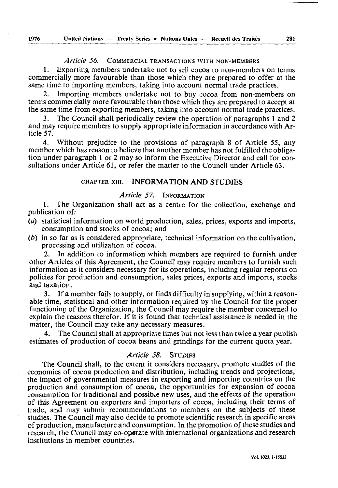#### *Article 56.* COMMERCIAL TRANSACTIONS WITH NON-MEMBERS

1. Exporting members undertake not to sell cocoa to non-members on terms commercially more favourable than those which they are prepared to offer at the same time to importing members, taking into account normal trade practices.

2. Importing members undertake not to buy cocoa from non-members on terms commercially more favourable than those which they are prepared to accept at the same time from exporting members, taking into account normal trade practices.

3. The Council shall periodically review the operation of paragraphs 1 and 2 and may require members to supply appropriate information in accordance with Ar ticle 57.

4. Without prejudice to the provisions of paragraph 8 of Article 55, any member which has reason to believe that another member has not fulfilled the obliga tion under paragraph 1 or 2 may so inform the Executive Director and call for con sultations under Article 61, or refer the matter to the Council under Article 63.

# CHAPTER xin. INFORMATION AND STUDIES

# *Article 57.* INFORMATION

1. The Organization shall act as a centre for the collection, exchange and publication of:

- *(a)* statistical information on world production, sales, prices, exports and imports, consumption and stocks of cocoa; and
- *(b)* in so far as is considered appropriate, technical information on the cultivation, processing and utilization of cocoa.

In addition to information which members are required to furnish under other Articles of this Agreement, the Council may require members to furnish such information as it considers necessary for its operations, including regular reports on policies for production and consumption, sales prices, exports and imports, stocks and taxation.

3. If a member fails to supply, or finds difficulty in supplying, within a reason able time, statistical and other information required by the Council for the proper functioning of the Organization, the Council may require the member concerned to explain the reasons therefor. If it is found that technical assistance is needed in the matter, the Council may take any necessary measures.

4. The Council shall at appropriate times but not less than twice a year publish estimates of production of cocoa beans and grindings for the current quota year.

#### *Article 58.* STUDIES

The Council shall, to the extent it considers necessary, promote studies of the economics of cocoa production and distribution, including trends and projections, the impact of governmental measures in exporting and importing countries on the production and consumption of cocoa, the opportunities for expansion of cocoa consumption for traditional and possible new uses, and the effects of the operation of this Agreement on exporters and importers of cocoa, including their terms of trade, and may submit recommendations to members on the subjects of these studies. The Council may also decide to promote scientific research in specific areas of production, manufacture and consumption. In the promotion of these studies and research, the Council may co-operate with international organizations and research institutions in member countries.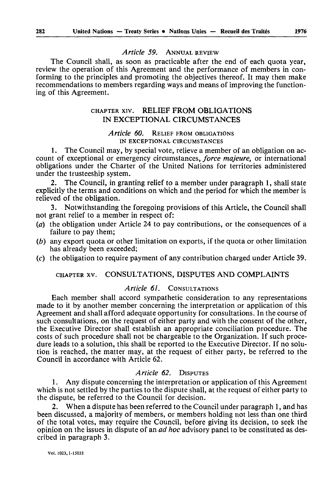#### *Article 59.* ANNUAL REVIEW

The Council shall, as soon as practicable after the end of each quota year, review the operation of this Agreement and the performance of members in con forming to the principles and promoting the objectives thereof. It may then make recommendations to members regarding ways and means of improving the function ing of this Agreement.

# CHAPTER xiv. RELIEF FROM OBLIGATIONS IN EXCEPTIONAL CIRCUMSTANCES

#### *Article 60.* RELIEF FROM OBLIGATIONS IN EXCEPTIONAL CIRCUMSTANCES

1. The Council may, by special vote, relieve a member of an obligation on ac count of exceptional or emergency circumstances, *force majeure,* or international obligations under the Charter of the United Nations for territories administered under the trusteeship system.

2. The Council, in granting relief to a member under paragraph 1, shall state explicitly the terms and conditions on which and the period for which the member is relieved of the obligation.

3. Notwithstanding the foregoing provisions of this Article, the Council shall not grant relief to a member in respect of:

- *(a)* the obligation under Article 24 to pay contributions, or the consequences of a failure to pay them;
- *(b)* any export quota or other limitation on exports, if the quota or other limitation has already been exceeded;
- (c) the obligation to require payment of any contribution charged under Article 39.

# CHAPTER xv. CONSULTATIONS, DISPUTES AND COMPLAINTS

# *Article 61.* CONSULTATIONS

Each member shall accord sympathetic consideration to any representations made to it by another member concerning the interpretation or application of this Agreement and shall afford adequate opportunity for consultations. In the course of such consultations, on the request of either party and with the consent of the other, the Executive Director shall establish an appropriate conciliation procedure. The costs of such procedure shall not be chargeable to the Organization. If such proce dure leads to a solution, this shall be reported to the Executive Director. If no solu tion is reached, the matter may, at the request of either party, be referred to the Council in accordance with Article 62.

#### *Article 62.* DISPUTES

1. Any dispute concerning the interpretation or application of this Agreement which is not settled by the parties to the dispute shall, at the request of either party to the dispute, be referred to the Council for decision.

2. When a dispute has been referred to the Council under paragraph 1, and has been discussed, a majority of members, or members holding not less than one third of the total votes, may require the Council, before giving its decision, to seek the opinion on the issues in dispute of an *ad hoc* advisory panel to be constituted as des cribed in paragraph 3.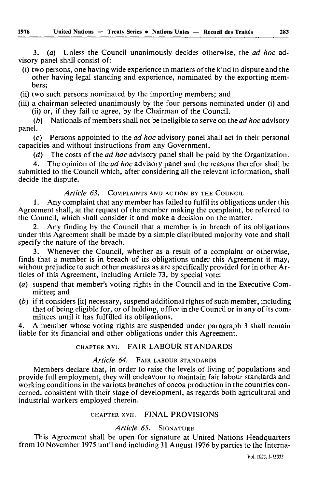3. *(à)* Unless the Council unanimously decides otherwise, the *ad hoc* ad visory panel shall consist of:

- (i) two persons, one having wide experience in matters of the kind in dispute and the other having legal standing and experience, nominated by the exporting mem bers;
- (ii) two such persons nominated by the importing members; and
- (iii) a chairman selected unanimously by the four persons nominated under (i) and (ii) or, if they fail to agree, by the Chairman of the Council.
- (6) Nationals of members shall not be ineligible to serve on the *ad hoc* advisory panel.
- (c) Persons appointed to the *ad hoc* advisory panel shall act in their personal capacities and without instructions from any Government.
	- *(d)* The costs of the *ad hoc* advisory panel shall be paid by the Organization.
- 4. The opinion of the *ad hoc* advisory panel and the reasons therefor shall be submitted to the Council which, after considering all the relevant information, shall decide the dispute.

# *Article 63.* COMPLAINTS AND ACTION BY THE COUNCIL

1. Any complaint that any member has failed to fulfil its obligations under this Agreement shall, at the request of the member making the complaint, be referred to the Council, which shall consider it and make a decision on the matter.

2. Any finding by the Council that a member is in breach of its obligations under this Agreement shall be made by a simple distributed majority vote and shall specify the nature of the breach.

3. Whenever the Council, whether as a result of a complaint or otherwise, finds that a member is in breach of its obligations under this Agreement it may, without prejudice to such other measures as are specifically provided for in other Ar ticles of this Agreement, including Article 73, by special vote:

- (a) suspend that member's voting rights in the Council and in the Executive Com mittee; and
- *(b)* if it considers [it] necessary, suspend additional rights of such member, including that of being eligible for, or of holding, office in the Council or in any of its com mittees until it has fulfilled its obligations.

4. A member whose voting rights are suspended under paragraph 3 shall remain liable for its financial and other obligations under this Agreement.

# CHAPTER xvi. FAIR LABOUR STANDARDS

# *Article 64.* FAIR LABOUR STANDARDS

Members declare that, in order to raise the levels of living of populations and provide full employment, they will endeavour to maintain fair labour standards and working conditions in the various branches of cocoa production in the countries con cerned, consistent with their stage of development, as regards both agricultural and industrial workers employed therein.

# CHAPTER xvii. FINAL PROVISIONS

# *Article 65.* SIGNATURE

This Agreement shall be open for signature at United Nations Headquarters from 10 November 1975 until and including 31 August 1976 by parties to the Interna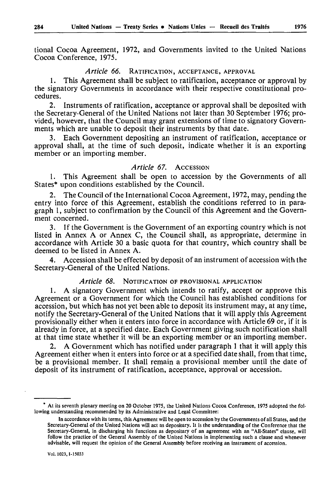tional Cocoa Agreement, 1972, and Governments invited to the United Nations Cocoa Conference, 1975.

# *Article 66.* RATIFICATION, ACCEPTANCE, APPROVAL

1. This Agreement shall be subject to ratification, acceptance or approval by the signatory Governments in accordance with their respective constitutional pro cedures.

2. Instruments of ratification, acceptance or approval shall be deposited with the Secretary-General of the United Nations not later than 30 September 1976; pro vided, however, that the Council may grant extensions of time to signatory Govern ments which are unable to deposit their instruments by that date.

3. Each Government depositing an instrument of ratification, acceptance or approval shall, at the time of such deposit, indicate whether it is an exporting member or an importing member.

#### *Article 67.* ACCESSION

1. This Agreement shall be open to accession by the Governments of all States\* upon conditions established by the Council.

2. The Council of the International Cocoa Agreement, 1972, may, pending the entry into force of this Agreement, establish the conditions referred to in para graph 1, subject to confirmation by the Council of this Agreement and the Govern ment concerned.

3. If the Government is the Government of an exporting country which is not listed in Annex A or Annex C, the Council shall, as appropriate, determine in accordance with Article 30 a basic quota for that country, which country shall be deemed to be listed in Annex A.

4. Accession shall be effected by deposit of an instrument of accession with the Secretary-General of the United Nations.

## *Article 68.* NOTIFICATION OF PROVISIONAL APPLICATION

1. A signatory Government which intends to ratify, accept or approve this Agreement or a Government for which the Council has established conditions for accession, but which has not yet been able to deposit its instrument may, at any time, notify the Secretary-General of the United Nations that it will apply this Agreement provisionally either when it enters into force in accordance with Article 69 or, if it is already in force, at a specified date. Each Government giving such notification shall at that time state whether it will be an exporting member or an importing member.

2. A Government which has notified under paragraph 1 that it will apply this Agreement either when it enters into force or at a specified date shall, from that time, be a provisional member. It shall remain a provisional member until the date of deposit of its instrument of ratification, acceptance, approval or accession.

At its seventh plenary meeting on 20 October 1975, the United Nations Cocoa Conference, 1975 adopted the fol lowing understanding recommended by its Administrative and Legal Committee:

In accordance with its terms, this Agreement will be open to accession by the Governments of all States, and the Secretary-General of the United Nations will act as depositary. It is the understanding of the Conference that the Secretary-General, in discharging his functions as depositary of an agreement with an "All-States" clause, will follow the practice of the General Assembly of the United Nations in implementing such a clause and whenever advisable, will request the opinion of the General Assembly before receiving an instrument of accession.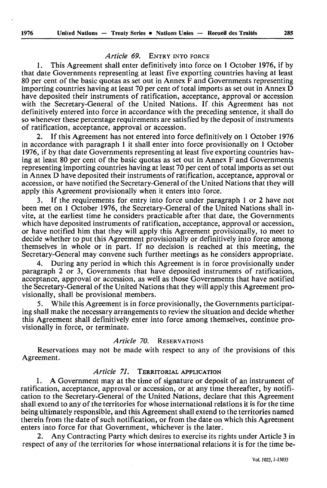# *Article 69.* ENTRY INTO FORCE

1. This Agreement shall enter definitively into force on 1 October 1976, if by that date Governments representing at least five exporting countries having at least 80 per cent of the basic quotas as set out in Annex F and Governments representing importing countries having at least 70 per cent of total imports as set out in Annex D have deposited their instruments of ratification, acceptance, approval or accession with the Secretary-General of the United Nations. If this Agreement has not definitively entered into force in accordance with the preceding sentence, it shall do so whenever these percentage requirements are satisfied by the deposit of instruments of ratification, acceptance, approval or accession.

2. If this Agreement has not entered into force definitively on 1 October 1976 in accordance with paragraph 1 it shall enter into force provisionally on 1 October 1976, if by that date Governments representing at least five exporting countries hav ing at least 80 per cent of the basic quotas as set out in Annex F and Governments representing importing countries having at least 70 per cent of total imports as set out in Annex D have deposited their instruments of ratification, acceptance, approval or accession, or have notified the Secretary-General of the United Nations that they will apply this Agreement provisionally when it enters into force.

3. If the requirements for entry into force under paragraph 1 or 2 have not been met on 1 October 1976, the Secretary-General of the United Nations shall in vite, at the earliest time he considers practicable after that date, the Governments which have deposited instruments of ratification, acceptance, approval or accession, or have notified him that they will apply this Agreement provisionally, to meet to decide whether to put this Agreement provisionally or definitively into force among themselves in whole or in part. If no decision is reached at this meeting, the Secretary-General may convene such further meetings as he considers appropriate.

4. During any period in which this Agreement is in force provisionally under paragraph 2 or 3, Governments that have deposited instruments of ratification, acceptance, approval or accession, as well as those Governments that have notified the Secretary-General of the United Nations that they will apply this Agreement pro visionally, shall be provisional members.

5. While this Agreement is in force provisionally, the Governments participat ing shall make the necessary arrangements to review the situation and decide whether this Agreement shall definitively enter into force among themselves, continue pro visionally in force, or terminate.

#### *Article 70.* RESERVATIONS

Reservations may not be made with respect to any of the provisions of this Agreement.

# *Article 71.* TERRITORIAL APPLICATION

1. A Government may at the time of signature or deposit of an instrument of ratification, acceptance, approval or accession, or at any time thereafter, by notifi cation to the Secretary-General of the United Nations, declare that this Agreement shall extend to any of the territories for whose international relations it is for the time being ultimately responsible, and this Agreement shall extend to the territories named therein from the date of such notification, or from the date on which this Agreement enters into force for that Government, whichever is the later.

2. Any Contracting Party which desires to exercise its rights under Article 3 in respect of any of the territories for whose international relations it is for the time be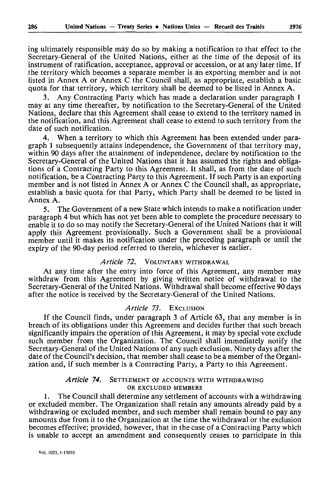ing ultimately responsible may do so by making a notification to that effect to the Secretary-General of the United Nations, either at the time of the deposit of its instrument of ratification, acceptance, approval or accession, or at any later time. If the territory which becomes a separate member is an exporting member and is not listed in Annex A or Annex C the Council shall, as appropriate, establish a basic quota for that territory, which territory shall be deemed to be listed in Annex A.

3. Any Contracting Party which has made a declaration under paragraph 1 may at any time thereafter, by notification to the Secretary-General of the United Nations, declare that this Agreement shall cease to extend to the territory named in the notification, and this Agreement shall cease to extend to such territory from the date of such notification.

4. When a territory to which this Agreement has been extended under para graph 1 subsequently attains independence, the Government of that territory may, within 90 days after the attainment of independence, declare by notification to the Secretary-General of the United Nations that it has assumed the rights and obliga tions of a Contracting Party to this Agreement. It shall, as from the date of such notification, be a Contracting Party to this Agreement. If such Party is an exporting member and is not listed in Annex A or Annex C the Council shall, as appropriate, establish a basic quota for that Party, which Party shall be deemed to be listed in Annex A.

5. The Government of a new State which intends to make a notification under paragraph 4 but which has not yet been able to complete the procedure necessary to enable it to do so may notify the Secretary-General of the United Nations that it will apply this Agreement provisionally. Such a Government shall be a provisional member until it makes its notification under the preceding paragraph or until the expiry of the 90-day period referred to therein, whichever is earlier.

#### *Article 72.* VOLUNTARY WITHDRAWAL

At any time after the entry into force of this Agreement, any member may withdraw from this Agreement by giving written notice of withdrawal to the Secretary-General of the United Nations. Withdrawal shall become effective 90 days after the notice is received by the Secretary-General of the United Nations.

#### *Article 73.* EXCLUSION

If the Council finds, under paragraph 3 of Article 63, that any member is in breach of its obligations under this Agreement and decides further that such breach significantly impairs the operation of this Agreement, it may by special vote exclude such member from the Organization. The Council shall immediately notify the Secretary-General of the United Nations of any such exclusion. Ninety days after the date of the Council's decision, that member shall cease to be a member of the Organi zation and, if such member is a Contracting Party, a Party to this Agreement.

#### *Article 74.* SETTLEMENT OF ACCOUNTS WITH WITHDRAWING OR EXCLUDED MEMBERS

1. The Council shall determine any settlement of accounts with a withdrawing or excluded member. The Organization shall retain any amounts already paid by a withdrawing or excluded member, and such member shall remain bound to pay any amounts due from it to the Organization at the time the withdrawal or the exclusion becomes effective; provided, however, that in the case of a Contracting Party which is unable to accept an amendment and consequently ceases to participate in this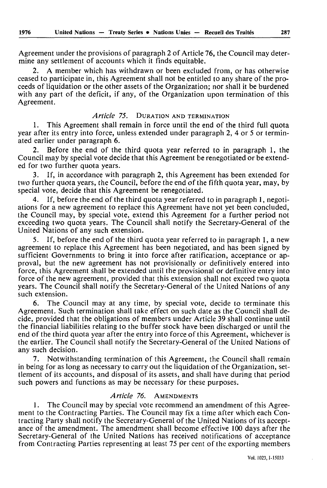Agreement under the provisions of paragraph 2 of Article 76, the Council may deter mine any settlement of accounts which it finds equitable.

2. A member which has withdrawn or been excluded from, or has otherwise ceased to participate in, this Agreement shall not be entitled to any share of the pro ceeds of liquidation or the other assets of the Organization; nor shall it be burdened with any part of the deficit, if any, of the Organization upon termination of this Agreement.

#### *Article 75.* DURATION AND TERMINATION

1. This Agreement shall remain in force until the end of the third full quota year after its entry into force, unless extended under paragraph 2, 4 or 5 or termin ated earlier under paragraph 6.

2. Before the end of the third quota year referred to in paragraph 1, the Council may by special vote decide that this Agreement be renegotiated or be extend ed for two further quota years.

3. If, in accordance with paragraph 2, this Agreement has been extended for two further quota years, the Council, before the end of the fifth quota year, may, by special vote, decide that this Agreement be renegotiated.

4. If, before the end of the third quota year referred to in paragraph 1, negoti ations for a new agreement to replace this Agreement have not yet been concluded, the Council may, by special vote, extend this Agreement for a further period not exceeding two quota years. The Council shall notify the Secretary-General of the United Nations of any such extension.

5. If, before the end of the third quota year referred to in paragraph 1, a new agreement to replace this Agreement has been negotiated, and has been signed by sufficient Governments to bring it into force after ratification, acceptance or ap proval, but the new agreement has not provisionally or definitively entered into force, this Agreement shall be extended until the provisional or definitive entry into force of the new agreement, provided that this extension shall not exceed two quota years. The Council shall notify the Secretary-General of the United Nations of any such extension.

6. The Council may at any time, by special vote, decide to terminate this Agreement. Such termination shall take effect on such date as the Council shall de cide, provided that the obligations of members under Article 39 shall continue until the financial liabilities relating to the buffer stock have been discharged or until the end of the third quota year after the entry into force of this Agreement, whichever is the earlier. The Council shall notify the Secretary-General of the United Nations of any such decision.

7. Notwithstanding termination of this Agreement, the Council shall remain in being for as long as necessary to carry out the liquidation of the Organization, set tlement of its accounts, and disposal of its assets, and shall have during that period such powers and functions as may be necessary for these purposes.

#### *Article 76.* AMENDMENTS

1. The Council may by special vote recommend an amendment of this Agree ment to the Contracting Parties. The Council may fix a time after which each Con tracting Party shall notify the Secretary-General of the United Nations of its accept ance of the amendment. The amendment shall become effective 100 days after the Secretary-General of the United Nations has received notifications of acceptance from Contracting Parties representing at least 75 per cent of the exporting members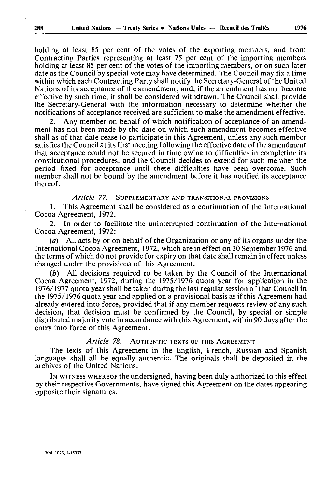holding at least 85 per cent of the votes of the exporting members, and from Contracting Parties representing at least 75 per cent of the importing members holding at least 85 per cent of the votes of the importing members, or on such later date as the Council by special vote may have determined. The Council may fix a time within which each Contracting Party shall notify the Secretary-General of the United Nations of its acceptance of the amendment, and, if the amendment has not become effective by such time, it shall be considered withdrawn. The Council shall provide the Secretary-General with the information necessary to determine whether the notifications of acceptance received are sufficient to make the amendment effective.

2. Any member on behalf of which notification of acceptance of an amend ment has not been made by the date on which such amendment becomes effective shall as of that date cease to participate in this Agreement, unless any such member satisfies the Council at its first meeting following the effective date of the amendment that acceptance could not be secured in time owing to difficulties in completing its constitutional procedures, and the Council decides to extend for such member the period fixed for acceptance until these difficulties have been overcome. Such member shall not be bound by the amendment before it has notified its acceptance thereof.

*Article 77.* SUPPLEMENTARY AND TRANSITIONAL PROVISIONS

1. This Agreement shall be considered as a continuation of the International Cocoa Agreement, 1972.

2. In order to facilitate the uninterrupted continuation of the International Cocoa Agreement, 1972:

*(a)* All acts by or on behalf of the Organization or any of its organs under the International Cocoa Agreement, 1972, which are in effect on 30 September 1976 and the terms of which do not provide for expiry on that date shall remain in effect unless changed under the provisions of this Agreement.

*(b)* All decisions required to be taken by the Council of the International Cocoa Agreement, 1972, during the 1975/1976 quota year for application in the 1976/1977 quota year shall be taken during the last regular session of that Council in the 1975/1976 quota year and applied on a provisional basis as if this Agreement had already entered into force, provided that if any member requests review of any such decision, that decision must be confirmed by the Council, by special or simple distributed majority vote in accordance with this Agreement, within 90 days after the entry into force of this Agreement.

#### *Article 78.* AUTHENTIC TEXTS OF THIS AGREEMENT

The texts of this Agreement in the English, French, Russian and Spanish languages shall all be equally authentic. The originals shall be deposited in the archives of the United Nations.

IN WITNESS WHEREOF the undersigned, having been duly authorized to this effect by their respective Governments, have signed this Agreement on the dates appearing opposite their signatures.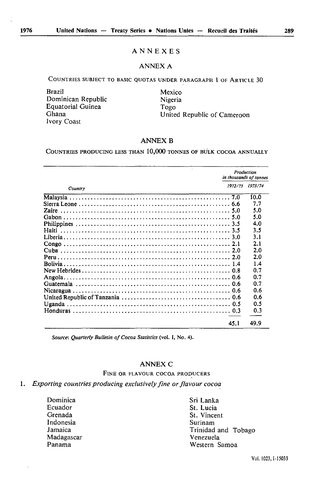# ANNEXES

#### ANNEX A

COUNTRIES SUBJECT TO BASIC QUOTAS UNDER PARAGRAPH 1 OF ARTICLE 30

Brazil Mexico Dominican Republic Nigeria Equatorial Guinea **Togo**<br>Ghana Unite Ivory Coast

United Republic of Cameroon

# **ANNEX B**

COUNTRIES PRODUCING LESS THAN 10,000 TONNES OF BULK COCOA ANNUALLY

|         | Production | in thousands of tonnes |
|---------|------------|------------------------|
| Country | 1972/73    | 1973/74                |
|         |            | 10.0                   |
|         |            | 7.7                    |
|         |            | 5.0                    |
|         |            | 5.0                    |
|         |            | 4.0                    |
|         |            | 3.5                    |
|         |            | 3.1                    |
|         |            | 2.1                    |
|         |            | 2.0                    |
|         |            | 2.0                    |
|         |            | 1.4                    |
|         |            | 0.7                    |
|         |            | 0.7                    |
|         |            | 0.7                    |
|         |            | 0.6                    |
|         |            | 0.6                    |
|         |            | 0.5                    |
|         |            | 0.3                    |
|         |            |                        |
|         | 45.1       | 49.9                   |

*Source: Quarterly Bulletin of Cocoa Statistics* (vol. I, No. 4).

#### ANNEX C

FINE OR FLAVOUR COCOA PRODUCERS

# *Exporting countries producing exclusively fine or flavour cocoa*

Dominica Sri Lanka<br>
Sri Lanka<br>
St. Lucia Ecuador St. Lucia<br>
St. Lucia<br>
St. Vincer St. Vincent Indonesia Surinam Surinam Surinam Surinam Surinam Surinam Surinam Surinam Surinam Surinam Surinam Surinam Suri<br>Ini dan Surinam Surinam Surinam Surinam Surinam Surinam Surinam Surinam Surinam Surinam Surinam Surinam Surina Trinidad and Tobago<br>Venezuela Madagascar Panama Western Samoa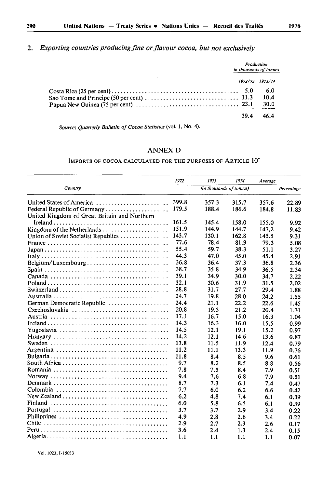|      | Production<br>in thousands of tonnes |
|------|--------------------------------------|
|      | 1972/73 1973/74                      |
|      | 6.0<br>10.4<br>30.0                  |
| 39.4 | 46.4                                 |
|      |                                      |

*Source: Quarterly Bulletin of Cocoa Statistics* (vol. I, No. 4).

# ANNEX D

#### IMPORTS OF COCOA CALCULATED FOR THE PURPOSES OF ARTICLE 10\*

|                                                                       | 1972  | 1973                     | 1974  | Average |            |
|-----------------------------------------------------------------------|-------|--------------------------|-------|---------|------------|
| Country                                                               |       | (in thousands of tonnes) |       |         | Percentage |
| United States of America                                              | 399.8 | 357.3                    | 315.7 | 357.6   | 22.89      |
| Federal Republic of Germany                                           | 179.5 | 188.4                    | 186.6 | 184.8   | 11.83      |
| United Kingdom of Great Britain and Northern                          |       |                          |       |         |            |
|                                                                       | 161.5 | 145.4                    | 158.0 | 155.0   | 9.92       |
|                                                                       | 151.9 | 144.9                    | 144.7 | 147.2   | 9.42       |
| Union of Soviet Socialist Republics                                   | 143.7 | 130.1                    | 162.8 | 145.5   | 9.31       |
|                                                                       | 77.6  | 78.4                     | 81.9  | 79.3    | 5.08       |
|                                                                       | 55.4  | 59.7                     | 38.3  | 51.1    | 3.27       |
|                                                                       | 44.3  | 47.0                     | 45.0  | 45.4    | 2.91       |
| $Belgium/Luxembourg \ldots \ldots \ldots \ldots \ldots \ldots \ldots$ | 36.8  | 36.4                     | 37.3  | 36.8    | 2.36       |
|                                                                       | 38.7  | 35.8                     | 34.9  | 36.5    | 2.34       |
|                                                                       | 39.1  | 34.9                     | 30.0  | 34.7    | 2.22       |
|                                                                       | 32.1  | 30.6                     | 31.9  | 31.5    | 2.02       |
|                                                                       | 28.8  | 31.7                     | 27.7  | 29.4    | 1.88       |
|                                                                       | 24.7  | 19.8                     | 28.0  | 24.2    | 1.55       |
| German Democratic Republic                                            | 24.4  | 21.1                     | 22.2  | 22.6    | 1.45       |
| Czechoslovakia                                                        | 20.8  | 19.3                     | 21.2  | 20.4    | 1.31       |
|                                                                       | 17.1  | 16.7                     | 15.0  | 16.3    | 1.04       |
|                                                                       | 14.3  | 16.3                     | 16.0  | 15.5    | 0.99       |
|                                                                       | 14.5  | 12.1                     | 19.1  | 15.2    | 0.97       |
|                                                                       | 14.2  | 12.1                     | 14.6  | 13.6    | 0.87       |
|                                                                       | 13.8  | 11.5                     | 11.9  | 12.4    | 0.79       |
|                                                                       | 11.2  | 11.1                     | 13.3  | 11.9    | 0.76       |
|                                                                       | 11.8  | 8.4                      | 8.5   | 9.6     | 0.61       |
|                                                                       | 9.7   | 8.2                      | 8.5   | 8.8     | 0.56       |
|                                                                       | 7.8   | 7.5                      | 8.4   | 7.9     | 0.51       |
|                                                                       | 9.4   | 7.6                      | 6.8   | 7.9     | 0.51       |
|                                                                       | 8.7   | 7.3                      | 6.1   | 7.4     | 0.47       |
|                                                                       | 7.7   | 6.0                      | 6.2   | 6.6     | 0.42       |
|                                                                       | 6.2   | 4.8                      | 7.4   | 6.1     | 0.39       |
|                                                                       | 6.0   | 5.8                      | 6.5   | 6.1     | 0.39       |
|                                                                       | 3.7   | 3.7                      | 2.9   | 3.4     | 0.22       |
|                                                                       | 4.9   | 2.8                      | 2.6   | 3.4     | 0.22       |
|                                                                       | 2.9   | 2.7                      | 2.3   | 2.6     | 0.17       |
|                                                                       | 3.6   | 2.4                      | 1.3   | 2.4     | 0.15       |
|                                                                       | 1.1   | 1.1                      | 1.1   | 1.1     | 0.07       |

Vol. 1023,1-15033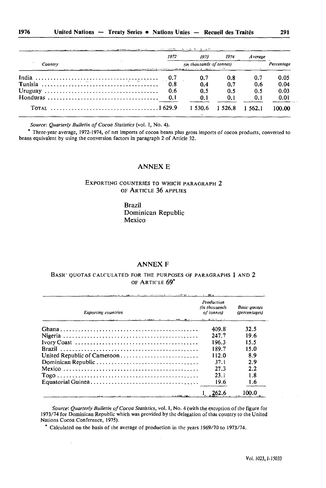|         | 1972 | 1973                                                                                                                            | 1974        | <i>Average</i> |            |
|---------|------|---------------------------------------------------------------------------------------------------------------------------------|-------------|----------------|------------|
| Country |      | (in thousands of tonnes)<br>- North Language Forms Forms - 名詞典義良 - 2013年 - 608 (2015年 - 1998年 - 1999年 - 1999年 - 1999年 - 1999年 - |             |                | Percentage |
|         | 0.7  | 0.7                                                                                                                             | 0.8         | - 0.7          | 0.05       |
|         | 0.8  | 0.4                                                                                                                             | 0.7         | 0.6            | 0.04       |
|         | 0.6  | 0.5                                                                                                                             | 0.5         | 0.5            | 0.03       |
|         |      | 0.1                                                                                                                             | 0.1         | 0.1            | 0.01       |
|         |      | 1.530.6                                                                                                                         | 1 5 2 6 . 8 | 1.562.1        | 100.00     |

*Source: Quarterly Bulletin of Cocoa Statistics* (vol. I, No. 4).

\* Three-year average, 1972-1974, of net imports of cocoa beans plus gross imports of cocoa products, converted to beans equivalent by using the conversion factors in paragraph 2 of Article 32.

#### ANNEX E

EXPORTING COUNTRIES TO WHICH PARAGRAPH 2 OF ARTICLE 36 APPLIES

> Brazil Dominican Republic Mexico

#### ANNEX F

#### BASIC QUOTAS CALCULATED FOR THE PURPOSES OF PARAGRAPHS 1 AND 2 OF ARTICLE 69\*

| <b>Exporting countries</b><br>a construction and determined the contract of the second contract of the contract of the contract of the contract of the contract of the contract of the contract of the contract of the contract of the contract of the contr | Production<br>(in thousands<br>of tonnes) | <b>Basic</b> quotas<br>(percentages) |
|--------------------------------------------------------------------------------------------------------------------------------------------------------------------------------------------------------------------------------------------------------------|-------------------------------------------|--------------------------------------|
|                                                                                                                                                                                                                                                              | 409.8                                     | 32.5                                 |
|                                                                                                                                                                                                                                                              | 247.7                                     | 19.6                                 |
|                                                                                                                                                                                                                                                              | 196.3                                     | 15.5                                 |
|                                                                                                                                                                                                                                                              | 189.7                                     | 15.0                                 |
|                                                                                                                                                                                                                                                              | 112.0                                     | 8.9                                  |
|                                                                                                                                                                                                                                                              | 37.I                                      | 2.9                                  |
|                                                                                                                                                                                                                                                              | 27.3                                      | 2.2                                  |
|                                                                                                                                                                                                                                                              | 23.1                                      | 1.8                                  |
|                                                                                                                                                                                                                                                              | 19.6                                      | 1.6                                  |
| and a management of the control of the state of the                                                                                                                                                                                                          | 262.6                                     | 100.0                                |

*Source: Quarterly Bulletin of Cocoa Statistics,* vol. I, No. 4 (with the exception of the figure for 1973/74 for Dominican Republic which was provided by the delegation of that country to the United Nations Cocoa Conference, 1975).

Calculated on the basis of the average of production in the years 1969/70 to 1973/74.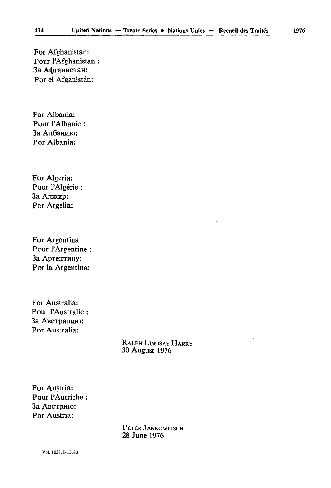For Afghanistan: Pour l'Afghanistan : За Афганистан: Por el Afganistân:

For Albania: Pour l'Albanie : За Албанию: Por Albania:

For Algeria: Pour l'Algérie : За Алжир: Por Argelia:

For Argentina Pour l'Argentine : За Аргентину: Por la Argentina:

For Australia: Pour l'Australie : За Австралию: Por Australia:

> RALPH LINDSAY HARRY 30 August 1976

For Austria: Pour l'Autriche : За Австрию: Por Austria:

> PETER JANKOWITSCH 28 June 1976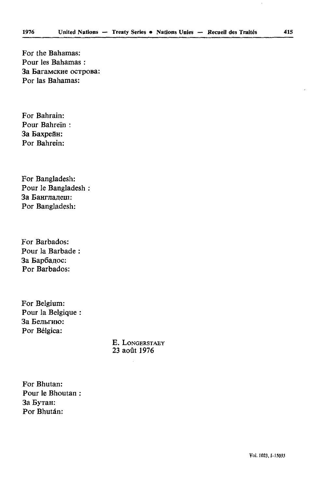For the Bahamas: Pour les Bahamas : 3a BaraMCKHe ocTpoBa: For las Bahamas:

For Bahrain: Pour Bahreïn: За Бахрейн: For Bahrein:

For Bangladesh: Pour le Bangladesh За Банглалеш: Por Bangladesh:

For Barbados: Pour la Barbade За Барбадос: Por Barbados:

For Belgium: Pour la Belgique : За Бельгию: Por Bélgica:

> E. LONGERSTAEY 23 août 1976

For Bhutan: Pour le Bhoutan 3a EyTan: Por Bhután: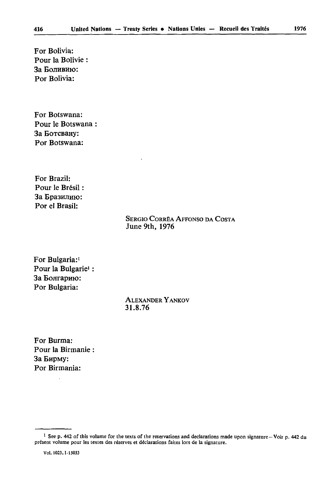For Bolivia: Pour la Bolivie За Боливию: For Bolivia:

For Botswana: Pour le Botswana 3a BoTCBany: For Botswana:

For Brazil: Pour le Brésil : За Бразилию: Por el Brasil:

# SERGIO CORRÊA AFFONSO DA COSTA June 9th, 1976

For Bulgaria:<sup>1</sup> Pour la Bulgarie<sup>1</sup>: За Болгарию: Por Bulgaria:

> ALEXANDER YANKOV 31.8.76

For Burma: Pour la Birmanie За Бирму: Por Birmania:

<sup>1</sup> See p. 442 of this volume for the texts of the reservations and declarations made upon signature—Voir p. 442 du présent volume pour les textes des réserves et déclarations faites lors de la signature.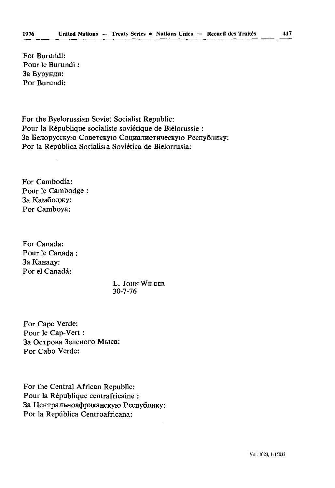For Burundi: Pour le Burundi : За Бурунди: Por Burundi:

For the Byelorussian Soviet Socialist Republic: Pour la République socialiste soviétique de Biélorussie : За Белорусскую Советскую Социалистическую Республику: Por la Repûblica Socialista Soviética de Bielorrusia:

For Cambodia: Pour le Cambodge : За Камбоджу: Por Camboya:

For Canada: Pour le Canada : 3a Kana^y: Por el Canadá:

> L. JOHN WILDER 30-7-76

For Cape Verde: Pour le Cap-Vert : 3a OcTpoea 3enenoro Mwca: Por Cabo Verde:

For the Central African Republic: Pour la République centrafricaine : За Центральноафриканскую Республику: Por la Repûblica Centroafricana: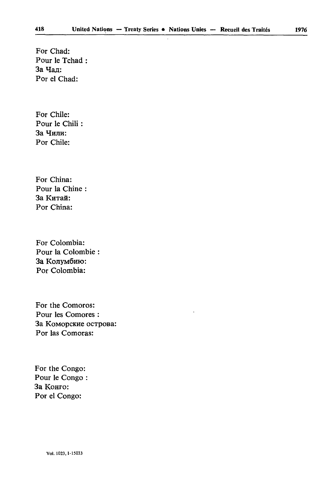For Chad: Pour le Tchad : За Чад: For el Chad:

For Chile: Pour le Chili : За Чили: Por Chile:

For China: Pour la Chine За Китай: Por China:

For Colombia: Pour la Colombie 3a Колумбию: Por Colombia:

For the Comoros: Pour les Comores : 3a KoMopcKHe ocTpoBa: Por las Comoras:

For thé Congo: Pour le Congo : За Конго: Por el Congo: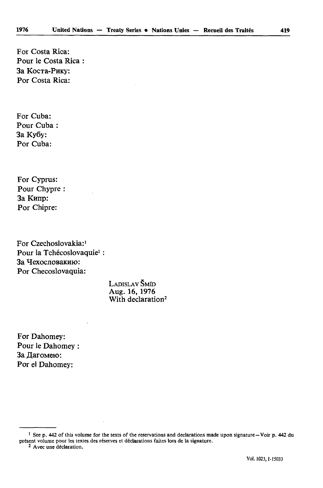For Costa Rica: Pour le Costa Rica : За Коста-Рику: Por Costa Rica:

For Cuba: Pour Cuba 3a Ky6y: Por Cuba:

For Cyprus: Pour Chypre 3a Kunp: Por Chipre:

For Czechoslovakia:<sup>1</sup> Pour la Tchécoslovaquie<sup>1</sup> : За Чехословакию: Por Checoslovaquia:

> LADISLAV ŠMÍD Aug. 16, 1976 With declaration<sup>2</sup>

For Dahomey: Pour le Dahomey : За Дагомею: Por el Dahomey:

2 Avec une déclaration.

<sup>1</sup> See p. 442 of this volume for the texts of the reservations and declarations made upon signature—Voir p. 442 du présent volume pour les textes des réserves et déclarations faites lors de la signature.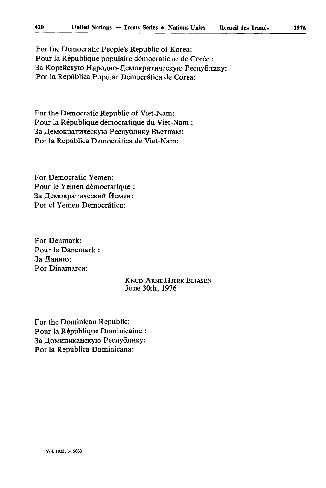For the Democratic People's Republic of Korea: Pour la République populaire démocratique de Corée : За Корейскую Народно-Демократическую Республику: Por la Repûblica Popular Democràtica de Corea:

For the Democratic Republic of Viet-Nam: Pour la République démocratique du Viet-Nam : За Демократическую Республику Вьетнам: Por la Repûblica Democràtica de Viet-Nam:

For Democratic Yemen: Pour le Yemen démocratique : За Демократический Йемен: Por el Yemen Democrático:

For Denmark: Pour le Danemark : За Данию: Por Dinamarca:

# KNUD-ARNE HJERK ELIASEN June 30th, 1976

For the Dominican Republic: Pour la République Dominicaine : За Доминиканскую Республику: Por la Repûblica Dominicana: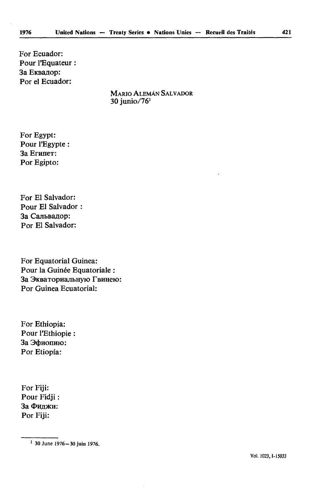For Ecuador: Pour l'Equateur : За Еквадор: Por el Ecuador:

> MARIO ALEMÀN SALVADOR 30 junio/761

For Egypt: Pour l'Egypte : 3a Enuier: Por Egipto:

For El Salvador: Pour El Salvador : За Сальвадор: Por El Salvador:

For Equatorial Guinea: Pour la Guinée Equatoriale : За Экваториальную Гвинею: Por Guinea Ecuatorial:

For Ethiopia: Pour l'Ethiopie : За Эфиопию: Por Etiopía:

For Fiji: Pour Fidji: За Фиджи: Por Fiji:

<sup>30</sup> June 1976-30 juin 1976.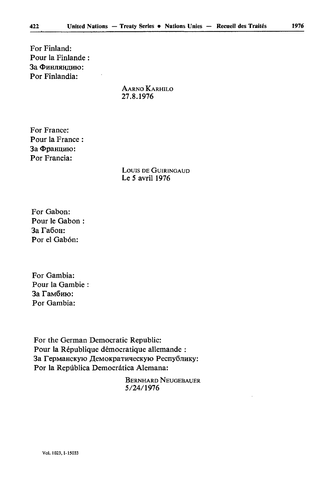For Finland: Pour la Finlande : За Финляндию: Por Finlandia:

> AARNO KARHILO 27.8.1976

For France: Pour la France : За Францию: Por Françia:

> LOUIS DE GUIRINGAUD Le 5 avril 1976

For Gabon: Pour le Gabon 3a ra6oa: Por el Gabón:

For Gambia: Pour la Gambie За Гамбию: Por Gambia:

For the German Democratic Republic: Pour la République démocratique allemande : За Германскую Демократическую Республику: Por la Repûblica Democràtica Alemana:

> BERNHARD NEUGEBAUER 5/24/1976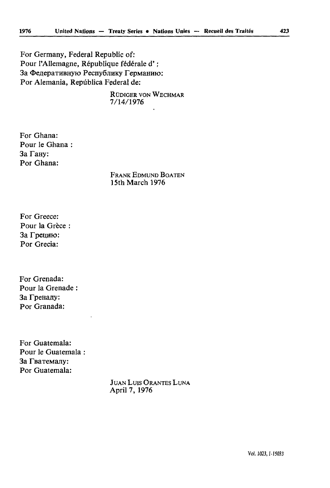For Germany, Federal Republic of: Pour l'Allemagne, République fédérale d' ; За Федеративную Республику Германию: Por Alemania, Republica Federal de:

> RUDIGER VON WECHMAR 7/14/1976

For Ghana: Pour le Ghana : 3a Fany: Por Ghana:

> FRANK EDMUND BOATEN 15th March 1976

For Greece: Pour la Grèce : 3a Fpeqmo: Por Grecia:

For Grenada: Pour la Grenade За Гренаду: Por Granada:

For Guatemala: Pour le Guatemala : За Гватемалу: Por Guatemala:

> JUAN Luis ORANTES LUNA April 7, 1976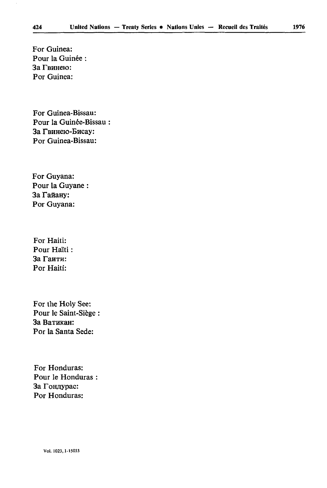For Guinea: Pour la Guinée : За Гвинею: For Guinea:

For Guinea-Bissau: Pour la Guinée-Bissau За Гвинею-Бисау: For Guinea-Bissau:

For Guyana: Pour la Guyane За Гайану: Por Guyana:

For Haiti: Pour Haïti : За Гаити: Por Haiti:

For the Holy See: Pour le Saint-Siège За Ватикан: Por la Santa Sede:

For Honduras: Pour le Honduras : За Гондурас: Por Honduras: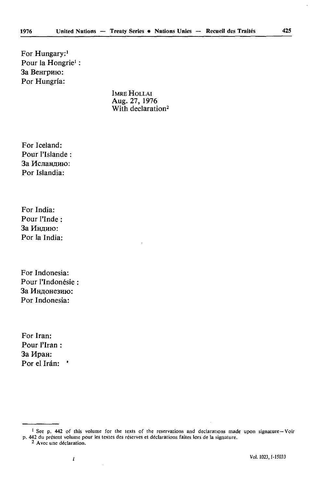For Hungary:<sup>1</sup> Pour la Hongrie<sup>1</sup> : За Венгрию: Por Hungria:

> IMRE HOLLAI Aug. 27, 1976 With declaration<sup>2</sup>

For Iceland: Pour l'Islande : За Исландию: Por Islandia:

For India: Pour l'Inde : За Индию: Por la India:

For Indonesia: Pour l'Indonésie ; За Индонезию: Por Indonesia:

For Iran: Pour l'Iran : 3a Hpan: Por el Irán: '

 $\overline{\mathbf{I}}$ 

<sup>&</sup>lt;sup>1</sup> See p. 442 of this volume for the texts of the reservations and declarations made upon signature–Voir p, 442 du présent volume pour les textes des réserves et déclarations faites lors de la signature.

<sup>2</sup> Avec une déclaration.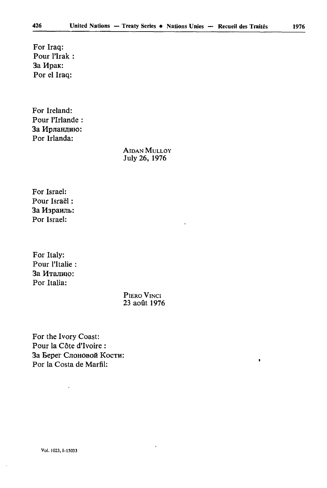For Iraq: Pour l'Irak : 3a *H*pak: Por el Iraq:

For Ireland: Pour l'Irlande За Ирландию: Por Irlanda:

> AlDAN MULLOY July 26, 1976

For Israël: Pour Israël : За Израиль: Por Israel:

For Italy: Pour l'Italie : За Италию: Por Italia:

> PIERO VINCI 23 août 1976

For the Ivory Coast: Pour la Côte d'Ivoire : За Берег Слоновой Кости: Por la Costa de Marfll:

l,

 $\bullet$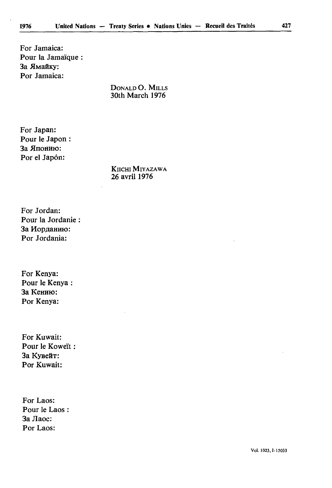For Jamaica: Pour la Jamaïque : За Ямайку: For Jamaica:

> DONALD O. MILLS 30th March 1976

For Japan: Pour le Japon : За Японию: Por el Japon:

> KlICHI MlYAZAWA 26 avril 1976

For Jordan: Pour la Jordanie : За Иорданию: Por Jordania:

For Kenya: Pour le Kenya 3а Кению: Por Kenya:

For Kuwait: Pour le Koweït За Кувейт: Por Kuwait:

For Laos: Pour le Laos : 3a Jlaoc: Por Laos: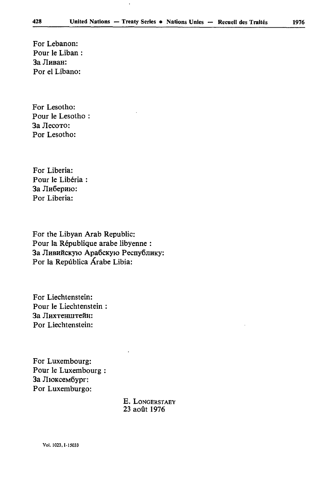l,

For Lebanon: Pour le Liban : За Ливан: Por el Libano:

For Lesotho: Pour le Lesotho : 3a Jlecoxo: Por Lesotho:

For Liberia: Pour le Libéria : За Либерию: Por Liberia:

For the Libyan Arab Republic: Pour la République arabe libyenne : За Ливийскую Арабскую Республику: Por la Repûblica Arabe Libia:

For Liechtenstein: Pour le Liechtenstein : За Лихтенштейн: Por Liechtenstein:

For Luxembourg: Pour le Luxembourg : 3a JlioKceM6ypr: Por Luxemburgo:

> E. LONGERSTAEY 23 août 1976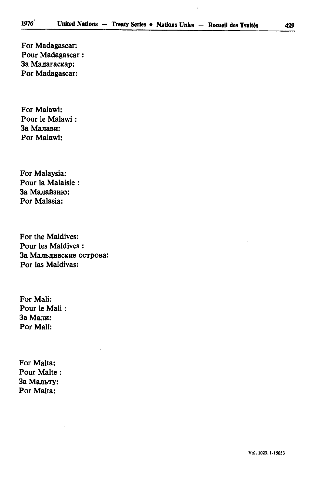For Madagascar: Pour Madagascar : За Мадагаскар: Por Madagascar:

For Malawi: Pour le Malawi : За Малави: Por Malawi:

For Malaysia: Pour la Malaisie За Малайзию: Por Malasia:

For the Maldives: Pour les Maldives : За Мальдивские острова: Por las Maldivas:

For Mali: Pour le Mali 3a Manu: Por Mali:

For Malta: Pour Malte : За Мальту: Por Malta: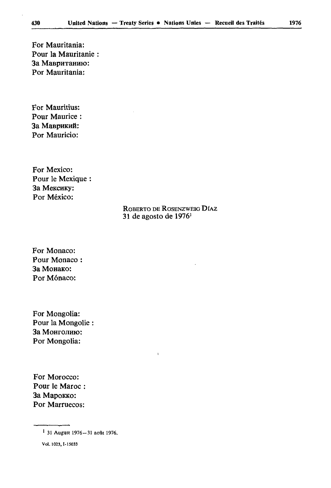For Mauritania: Pour la Mauritanie : За Мавританию: Por Mauritania:

For Mauritius: Pour Maurice : За Маврикий: Por Mauricio:

For Mexico: Pour le Mexique : 3a MeKCHKy: Por México;

# ROBERTO DE ROSENZWEIG DÎAZ 31 de agosto de  $1976<sup>1</sup>$

For Monaco: Pour Monaco : 3a MonaKo: Por Mónaco:

For Mongolia: Pour la Mongolie За Монголию: Por Mongolia:

For Morocco: Pour le Maroc : 3a MapoKKo: Por Marruecos:

Vo!. 1023,1-15033

<sup>1 3</sup>l August 1976-31 août 1976.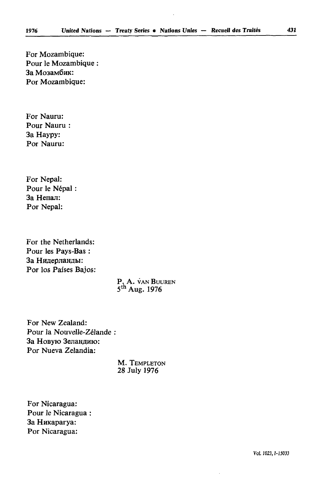For Mozambique: Pour le Mozambique : За Мозамбик: Por Mozambique:

For Nauru: Pour Nauru : 3a Haypy: Por Nauru:

For Népal: Pour le Népal 3a Henan: Por Népal:

For the Netherlands: Pour les Pays-Bas : За Нидерланды: Por los Paises Bajos:

> P. A. VAN BUUREN 5th Aug. 1976

For New Zealand: Pour la Nouvelle-Zélande : За Новую Зеландию: Por Nueva Zelandia:

> M. TEMPLETON 28 July 1976

For Nicaragua: Pour le Nicaragua : 3a HnKaparya: Por Nicaragua: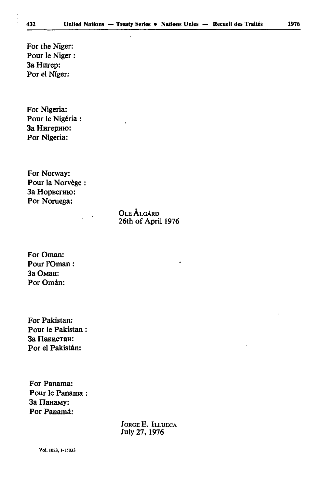For thé Niger: Pour le Niger : 3a Hnrep: Por el Niger:

For Nigeria: Pour le Nigéria : 3a Hnrepmo: Por Nigeria:

For Norway: Pour la Norvège За Норвегию: Por Noruega:

> OLEÀLGÂRD 26th of April 1976

ł

For Oman: Pour l'Oman : 3a OMan: Por Omán:

For Pakistan: Pour le Pakistan За Пакистан: Por el Pakistán:

For Panama: Pour le Panama За Панаму: Por Panamá:

> JORGE E. ILLUECA July 27, 1976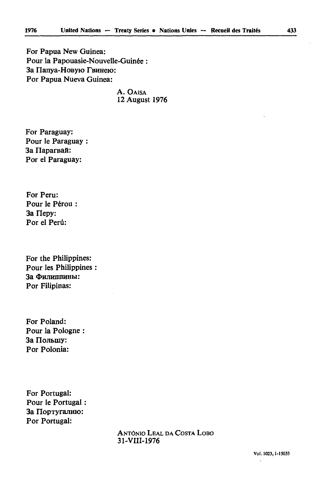For Papua New Guinea: Pour la Papouasie-Nouvelle-Guinée : За Папуа-Новую Гвинею: For Papua Nueva Guinea:

> A. OAISA 12 August 1976

For Paraguay: Pour le Paraguay За Парагвай: Por el Paraguay:

For Peru: Pour le Pérou 3a Hepy: Por el Perú:

For the Philippines: Pour les Philippines За Филиппины: Por Filipinas:

For Poland: Pour la Pologne : За Польшу: Por Polonia:

For Portugal: Pour le Portugal : За Португалию: Por Portugal:

> ANTONIO LEAL DA COSTA LOBO 31-VIII-1976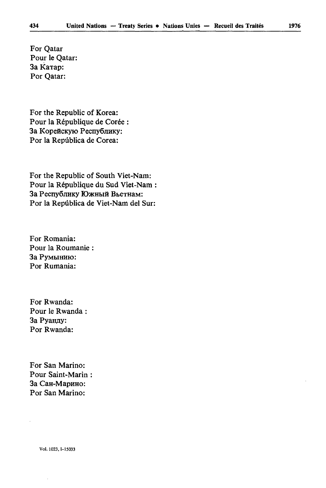For Qatar Pour le Qatar: За Катар: Por Qatar:

For the Republic of Korea: Pour la République de Corée : За Корейскую Республику: Por la Repûblica de Corea:

For the Republic of South Viet-Nam: Pour la République du Sud Viet-Nam : За Республику Южный Вьетнам: Por la Repûblica de Viet-Nam del Sur:

For Romania: Pour la Roumanie За Румынию: Por Rumania:

For Rwanda: Pour le Rwanda 3a PvaHnv: Por Rwanda:

For San Marino: Pour Saint-Marin За Сан-Марино: Por San Marino:

Vol. 1023,1-15033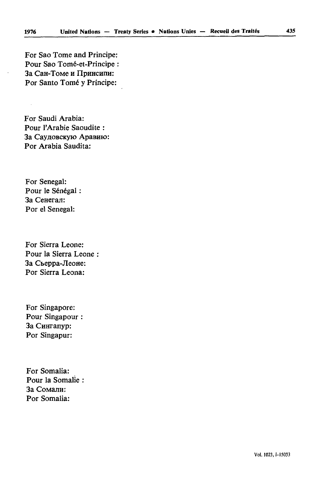For Sao Tome and Principe: Pour Sao Tomé-et-Principe : За Сан-Томе и Принсипи: Por Santo Tomé y Príncipe:

For Saudi Arabia: Pour l'Arabie Saoudite : За Сауловскую Аравию: Por Arabia Saudita:

For Senegal: Pour le Sénégal : 3a CeHeran: Por el Senegal:

For Sierra Leone: Pour la Sierra Leone 3a Cheppa-JleoHe: Por Sierra Leona:

For Singapore: Pour Singapour За Сингапур: Por Singapur:

For Somalia: Pour la Somalie За Сомали: Por Somalia: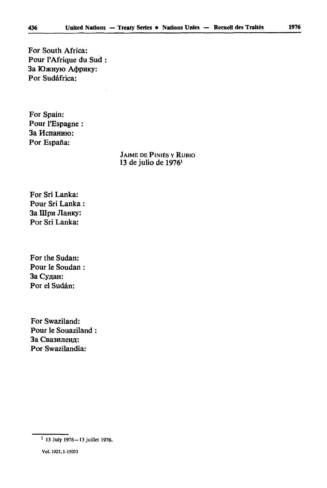For South Africa: Pour l'Afrique du Sud : За Южную Африку: Por Sudàfrica:

For Spain: Pour l'Espagne : За Испанию: Por España:

> JAIME DE FINIES Y RUBIO 13 de julio de 1976'

For Sri Lanka: Pour Sri Lanka : 3a Illpa JlanKy: Por Sri Lanka:

For the Sudan: Pour le Soudan : За Судан: Por el Sudan:

For Swaziland: Pour le Souaziland За Свазиленд: Por Swazilandia:

<sup>1 13</sup> July 1976-13 juillet 1976.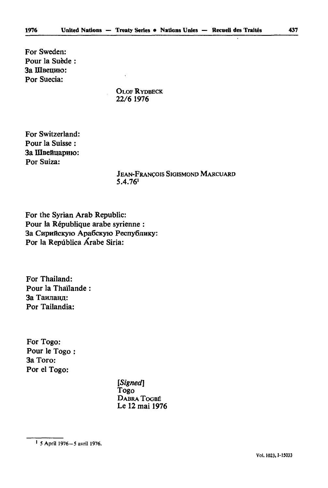For Sweden: Pour la Suède : **За IIIвению:** Por Suecia:

> OLOF RYDBECK 22/6 1976

For Switzerland: Pour la Suisse : 3a IHBefiuapmo: Por Suiza:

> JEAN-FRANÇOIS SIGISMOND MARCUARD 5.4.761

For the Syrian Arab Republic: Pour la République arabe syrienne : За Сирийскую Арабскую Республику: Por la Repûblica Arabe Siria:

For Thailand: Pour la Thaïlande : За Таиланд: Por Tailandia:

For Togo: Pour le Togo : 3a Toro: Por el Togo:

> *[Signed]*  Togo DABRA TOOBÉ Le 12 mai 1976

<sup>5</sup> April 1976-5 avril 1976.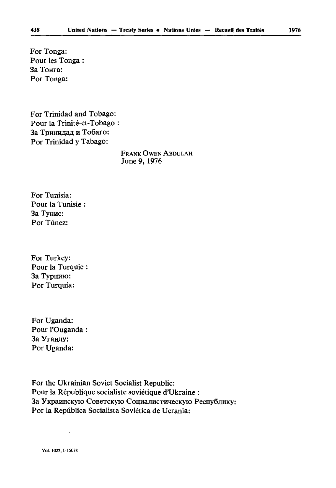For Tonga: Pour les Tonga : За Тонга: Por Tonga:

For Trinidad and Tobago: Pour la Trinité-et-Tobago : За Тринидад и Тобаго: Por Trinidad y Tabago:

> FRANK OWEN ABDULAH June 9, 1976

For Tunisia: Pour la Tunisie : За Тунис: Por Tûnez:

For Turkey: Pour la Turquie За Турцию: Por Turquia:

For Uganda: Pour l'Ouganda : 3a Vranay: Por Uganda:

For the Ukrainian Soviet Socialist Republic: Pour la République socialiste soviétique d'Ukraine : За Украинскую Советскую Социалистическую Республику: Por la Repûblica Socialista Soviética de Ucrania: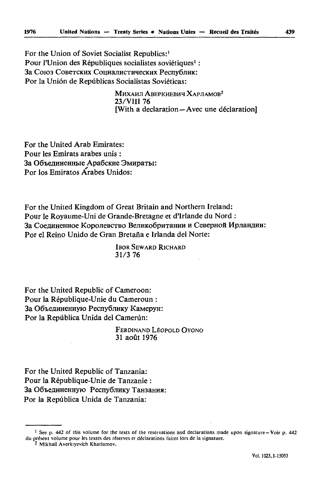For the Union of Soviet Socialist Republics:<sup>1</sup> Pour l'Union des Républiques socialistes soviétiques<sup>1</sup> : За Союз Советских Социалистических Республик: Por la Union de Repûblicas Socialistas Soviéticas:

> МИХАИЛ АВЕРКИЕВИЧ ХАРЛАМОВ<sup>2</sup> 23/VIII 76 [With a declaration—Avec une déclaration]

For thé United Arab Emirates: Pour les Emirats arabes unis : За Объединенные Арабские Эмираты: Por los Emiratos Arabes Unidos:

For thé United Kingdom of Great Britain and Northern Ireland: Pour le Royaume-Uni de Grande-Bretagne et d'Irlande du Nord За Соединенное Королевство Великобритании и Северной Ирландии: Por el Reino Unido de Gran Bretana e Irlanda del Norte:

> **IBOR SEWARD RICHARD** 31/3 76

For thé United Republic of Cameroon: Pour la République-Unie du Cameroun : За Объединенную Республику Камерун: Por la Repûblica Unida del Camerûn:

> FERDINAND LEOPOLD OYONO 31 août 1976

For the United Republic of Tanzania: Pour la République-Unie de Tanzanie : За Объединенную Республику Танзания: Por la Repûblica Unida de Tanzania:

<sup>1</sup> See p, 442 of this volume for the texts of the reservations and declarations made upon signature—Voir p. 442 du présent volume pour les textes des réserves el déclarations faites lors de la signature.

<sup>2</sup> Mikhail Averkiyevich Kharlamov.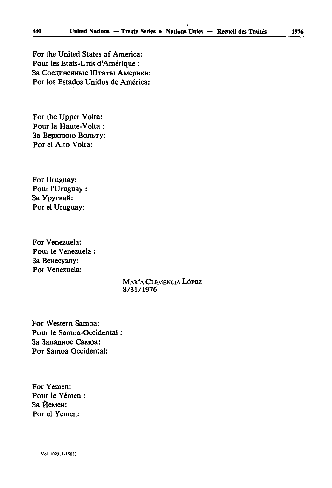For thé United States of America: Pour les Etats-Unis d'Amérique : За Соединенные Штаты Америки: Por los Estados Unidos de América:

For the Upper Volta: Pour la Haute-Volta : За Верхнюю Вольту: Por el Alto Volta:

For Uruguay: Pour l'Uruguay : За Уругвай: Por el Uruguay:

For Venezuela: Pour le Venezuela : 3a Benecyany: Por Venezuela:

# **MARÍA CLEMENCIA LÓPEZ** 8/31/1976

For Western Samoa: Pour le Samoa-Occidental За Запалное Самоа: Por Samoa Occidental:

For Yemen: Pour le Yémen : За Йемен: For el Yemen: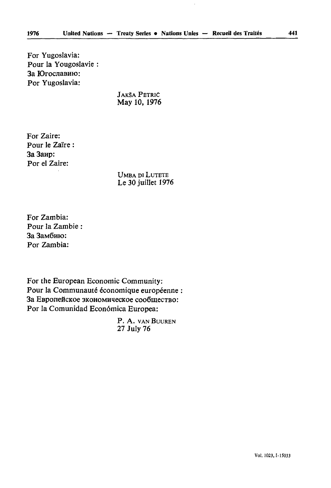For Yugoslavia: Pour la Yougoslavie : За Югославию: For Yugoslavia:

> JAKSA PETRIC May 10, 1976

For Zaire: Pour le Zaïre : 3a 3anp: Por el Zaire:

> UMBA DI LUTETE Le 30 juillet 1976

For Zambia: Pour la Zambie : 3a 3aMÔHio: Por Zambia:

For the European Economie Community: Pour la Communauté économique européenne : За Европейское экономическое сообщество: Por la Comunidad Econômica Europea:

> P. A. VAN BUUREN 27 July 76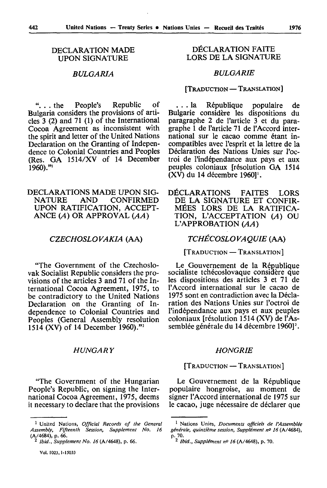#### DECLARATION MADE UPON SIGNATURE

# *BULGARIA*

". . . the People's Republic of Bulgaria considers the provisions of arti cles 3 (2) and 71 (1) of the International Cocoa Agreement as inconsistent with the spirit and letter of the United Nations Declaration on the Granting of Indepen dence to Colonial Countries and Peoples (Res. GA 1514/XV of 14 December 1960)."

# DECLARATIONS MADE UPON SIGNATIONS AND CONFIRMED **CONFIRMED** UPON RATIFICATION, ACCEPT ANCE *(A)* OR APPROVAL *(AA)*

#### *CZECHOSLOVAKIA* (AA)

"The Government of the Czechoslo vak Socialist Republic considers the pro visions of the articles 3 and 71 of the In ternational Cocoa Agreement, 1975, to be contradictory to the United Nations Declaration on the Granting of In dependence to Colonial Countries and Peoples (General Assembly resolution 1514 (XV) of 14 December I960)."2

#### *HUNGARY*

"The Government of the Hungarian People's Republic, on signing the Inter national Cocoa Agreement, 1975, deems it necessary to declare that the provisions

# DÉCLARATION FAITE LORS DE LA SIGNATURE

#### *BULGARIE*

#### [TRADUCTION — TRANSLATION]

... la République populaire de Bulgarie considère les dispositions du paragraphe 2 de l'article 3 et du para graphe 1 de l'article 71 de l'Accord inter national sur le cacao comme étant in compatibles avec l'esprit et la lettre de la Déclaration des Nations Unies sur l'oc troi de l'indépendance aux pays et aux peuples coloniaux [résolution GA 1514 (XV) du 14 décembre 1960<sup>1</sup>.

DÉCLARATIONS FAITES LORS DE LA SIGNATURE ET CONFIR MÉES LORS DE LA RATIFICA TION, L'ACCEPTATION *(A)* OU L'APPROBATION *(AA)*

#### *TCHÉCOSLOVAQUIE* (AA)

[TRADUCTION — TRANSLATION]

Le Gouvernement de la République socialiste tchécoslovaque considère que les dispositions des articles 3 et 71 de l'Accord international sur le cacao de 1975 sont en contradiction avec la Décla ration des Nations Unies sur l'octroi de l'indépendance aux pays et aux peuples coloniaux [résolution 1514 (XV) de l'As semblée générale du 14 décembre 1960]<sup>2</sup>.

#### *HONGRIE*

#### [TRADUCTION — TRANSLATION]

Le Gouvernement de la République populaire hongroise, au moment de signer l'Accord international de 1975 sur le cacao, juge nécessaire de déclarer que

<sup>1</sup> United Nations, *Official Records of the General Assembly, Fifteenth Session, Supplement No. 16*  (A/4684), p. 66.

<sup>2</sup> *Ibid., Supplement No. 16* (A/4648), p. 66.

<sup>1</sup> Nations Unies, *Documents officiels de l'Assemblée générale, quinzième session, Supplément n° 16* (A/4684), p. 70. 2 *Ibid., Supplément n° 16* (A/4648), p. 70.